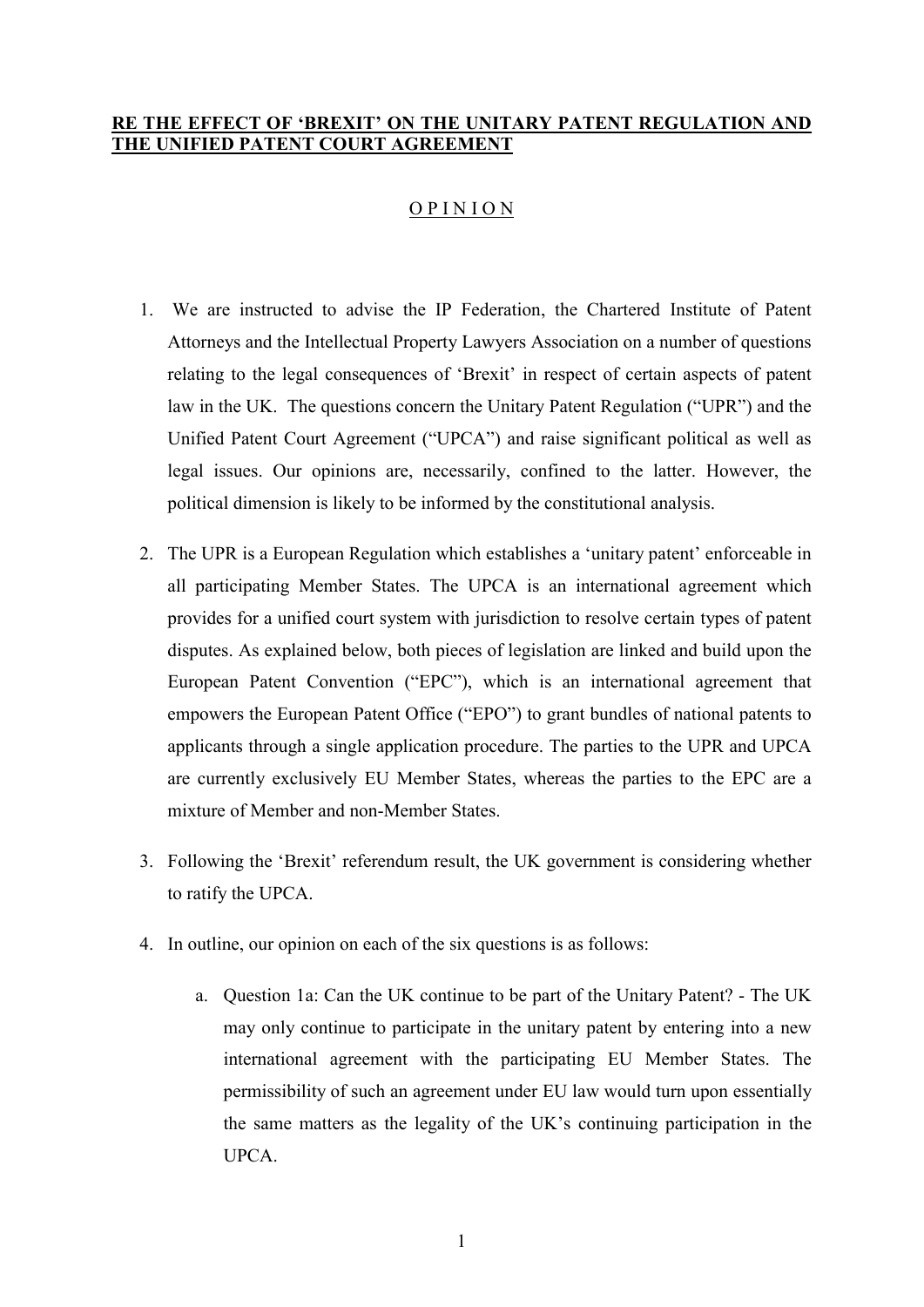# **RE THE EFFECT OF 'BREXIT' ON THE UNITARY PATENT REGULATION AND THE UNIFIED PATENT COURT AGREEMENT**

# $O$  P I N I O N

- 1. We are instructed to advise the IP Federation, the Chartered Institute of Patent Attorneys and the Intellectual Property Lawyers Association on a number of questions relating to the legal consequences of 'Brexit' in respect of certain aspects of patent law in the UK. The questions concern the Unitary Patent Regulation ("UPR") and the Unified Patent Court Agreement ("UPCA") and raise significant political as well as legal issues. Our opinions are, necessarily, confined to the latter. However, the political dimension is likely to be informed by the constitutional analysis.
- 2. The UPR is a European Regulation which establishes a 'unitary patent' enforceable in all participating Member States. The UPCA is an international agreement which provides for a unified court system with jurisdiction to resolve certain types of patent disputes. As explained below, both pieces of legislation are linked and build upon the European Patent Convention ("EPC"), which is an international agreement that empowers the European Patent Office ("EPO") to grant bundles of national patents to applicants through a single application procedure. The parties to the UPR and UPCA are currently exclusively EU Member States, whereas the parties to the EPC are a mixture of Member and non-Member States.
- 3. Following the 'Brexit' referendum result, the UK government is considering whether to ratify the UPCA.
- 4. In outline, our opinion on each of the six questions is as follows:
	- a. Question 1a: Can the UK continue to be part of the Unitary Patent? The UK may only continue to participate in the unitary patent by entering into a new international agreement with the participating EU Member States. The permissibility of such an agreement under EU law would turn upon essentially the same matters as the legality of the UK's continuing participation in the **UPCA**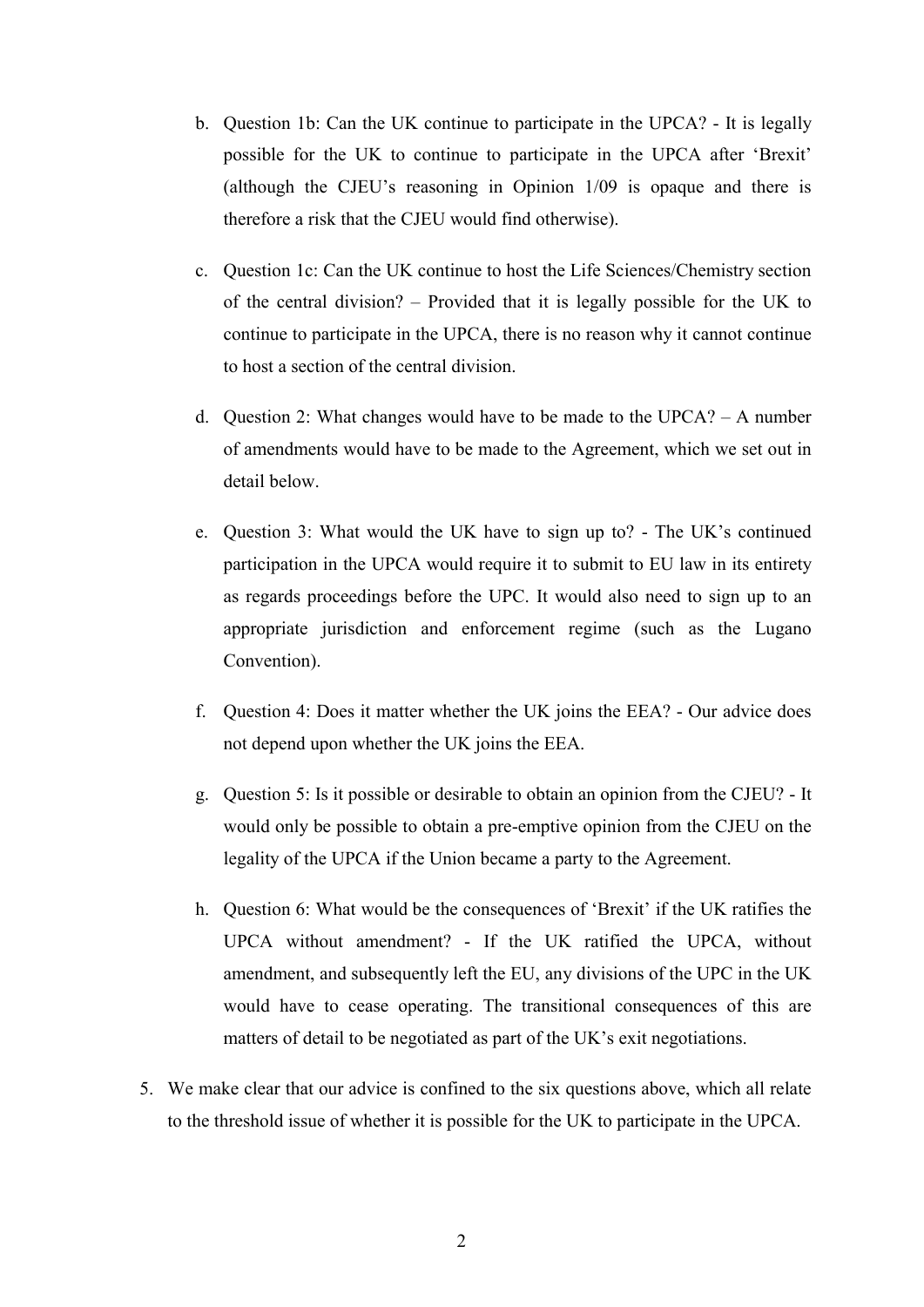- b. Question 1b: Can the UK continue to participate in the UPCA? It is legally possible for the UK to continue to participate in the UPCA after 'Brexit' (although the CJEU's reasoning in Opinion 1/09 is opaque and there is therefore a risk that the CJEU would find otherwise).
- c. Question 1c: Can the UK continue to host the Life Sciences/Chemistry section of the central division? – Provided that it is legally possible for the UK to continue to participate in the UPCA, there is no reason why it cannot continue to host a section of the central division.
- d. Question 2: What changes would have to be made to the UPCA? A number of amendments would have to be made to the Agreement, which we set out in detail below.
- e. Question 3: What would the UK have to sign up to? The UK's continued participation in the UPCA would require it to submit to EU law in its entirety as regards proceedings before the UPC. It would also need to sign up to an appropriate jurisdiction and enforcement regime (such as the Lugano Convention).
- f. Question 4: Does it matter whether the UK joins the EEA? Our advice does not depend upon whether the UK joins the EEA.
- g. Question 5: Is it possible or desirable to obtain an opinion from the CJEU? It would only be possible to obtain a pre-emptive opinion from the CJEU on the legality of the UPCA if the Union became a party to the Agreement.
- h. Question 6: What would be the consequences of 'Brexit' if the UK ratifies the UPCA without amendment? - If the UK ratified the UPCA, without amendment, and subsequently left the EU, any divisions of the UPC in the UK would have to cease operating. The transitional consequences of this are matters of detail to be negotiated as part of the UK's exit negotiations.
- 5. We make clear that our advice is confined to the six questions above, which all relate to the threshold issue of whether it is possible for the UK to participate in the UPCA.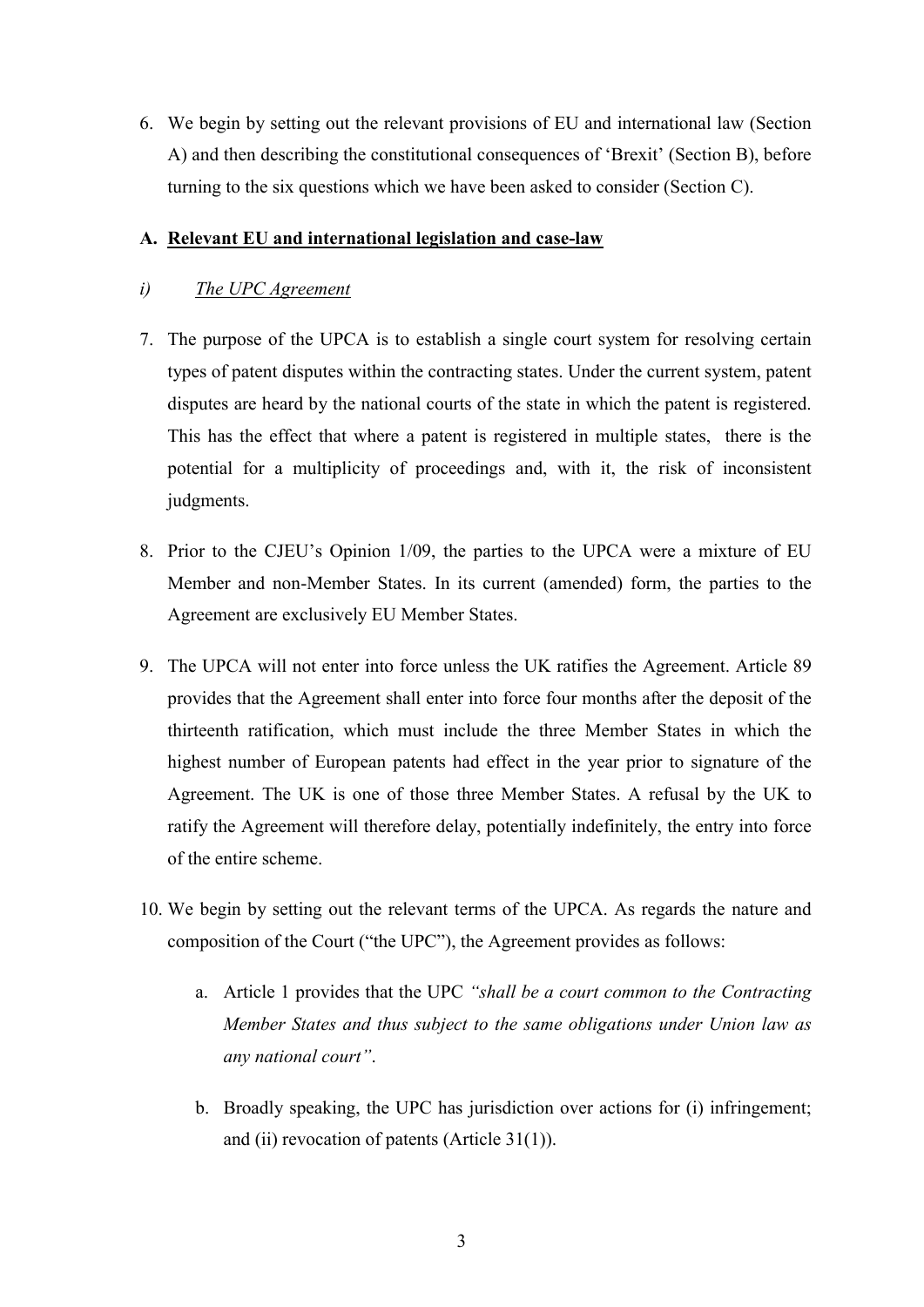6. We begin by setting out the relevant provisions of EU and international law (Section A) and then describing the constitutional consequences of 'Brexit' (Section B), before turning to the six questions which we have been asked to consider (Section C).

## **A. Relevant EU and international legislation and case-law**

## *i) The UPC Agreement*

- 7. The purpose of the UPCA is to establish a single court system for resolving certain types of patent disputes within the contracting states. Under the current system, patent disputes are heard by the national courts of the state in which the patent is registered. This has the effect that where a patent is registered in multiple states, there is the potential for a multiplicity of proceedings and, with it, the risk of inconsistent judgments.
- 8. Prior to the CJEU's Opinion 1/09, the parties to the UPCA were a mixture of EU Member and non-Member States. In its current (amended) form, the parties to the Agreement are exclusively EU Member States.
- 9. The UPCA will not enter into force unless the UK ratifies the Agreement. Article 89 provides that the Agreement shall enter into force four months after the deposit of the thirteenth ratification, which must include the three Member States in which the highest number of European patents had effect in the year prior to signature of the Agreement. The UK is one of those three Member States. A refusal by the UK to ratify the Agreement will therefore delay, potentially indefinitely, the entry into force of the entire scheme.
- 10. We begin by setting out the relevant terms of the UPCA. As regards the nature and composition of the Court ("the UPC"), the Agreement provides as follows:
	- a. Article 1 provides that the UPC *"shall be a court common to the Contracting Member States and thus subject to the same obligations under Union law as any national court"*.
	- b. Broadly speaking, the UPC has jurisdiction over actions for (i) infringement; and (ii) revocation of patents (Article 31(1)).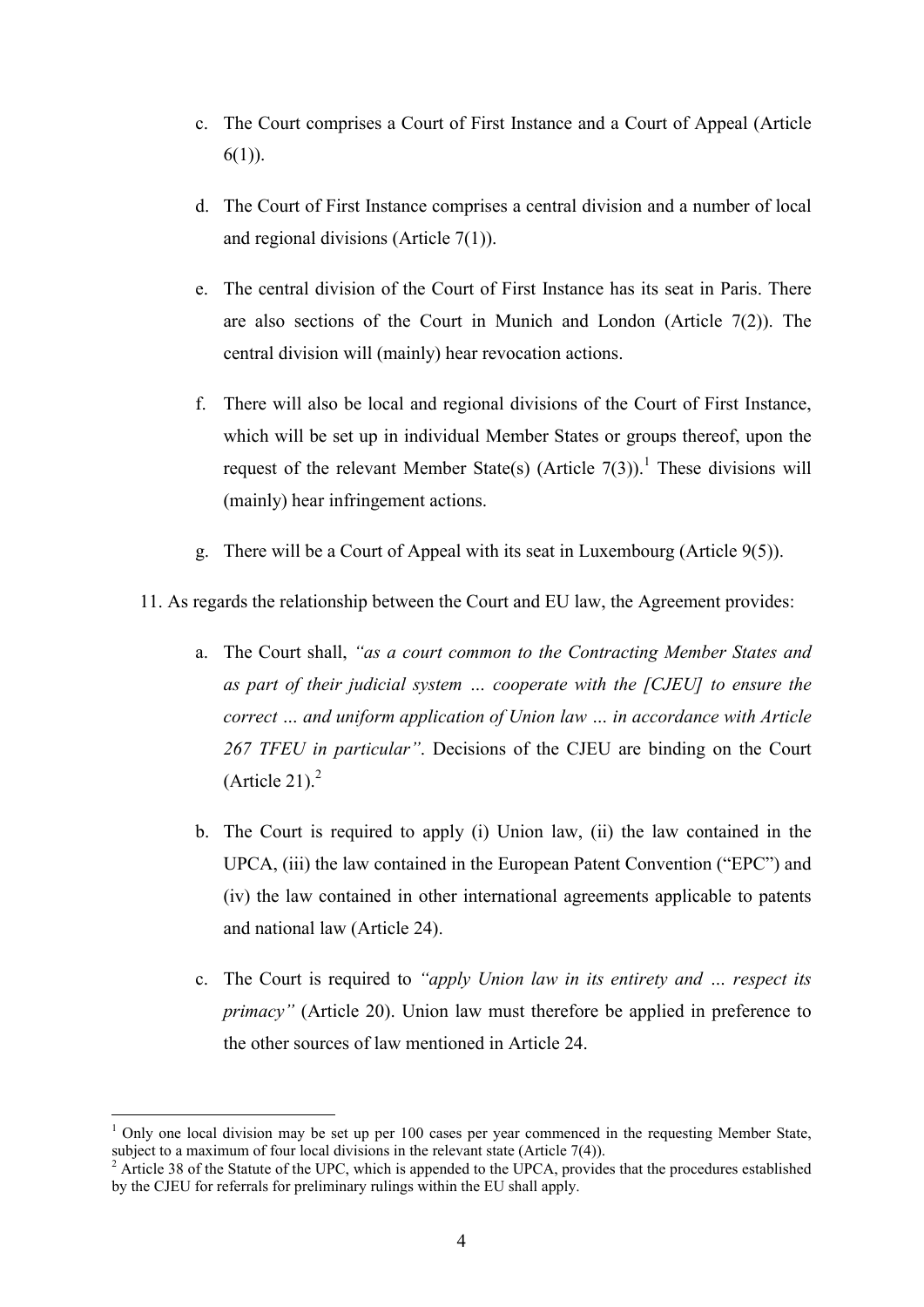- c. The Court comprises a Court of First Instance and a Court of Appeal (Article  $6(1)$ ).
- d. The Court of First Instance comprises a central division and a number of local and regional divisions (Article 7(1)).
- e. The central division of the Court of First Instance has its seat in Paris. There are also sections of the Court in Munich and London (Article 7(2)). The central division will (mainly) hear revocation actions.
- f. There will also be local and regional divisions of the Court of First Instance, which will be set up in individual Member States or groups thereof, upon the request of the relevant Member State(s) (Article  $7(3)$ ).<sup>1</sup> These divisions will (mainly) hear infringement actions.
- g. There will be a Court of Appeal with its seat in Luxembourg (Article 9(5)).

## 11. As regards the relationship between the Court and EU law, the Agreement provides:

- a. The Court shall, *"as a court common to the Contracting Member States and as part of their judicial system … cooperate with the [CJEU] to ensure the correct … and uniform application of Union law … in accordance with Article 267 TFEU in particular"*. Decisions of the CJEU are binding on the Court  $(A$ rticle 21)<sup>2</sup>
- b. The Court is required to apply (i) Union law, (ii) the law contained in the UPCA, (iii) the law contained in the European Patent Convention ("EPC") and (iv) the law contained in other international agreements applicable to patents and national law (Article 24).
- c. The Court is required to *"apply Union law in its entirety and … respect its primacy"* (Article 20). Union law must therefore be applied in preference to the other sources of law mentioned in Article 24.

<sup>1</sup> Only one local division may be set up per 100 cases per year commenced in the requesting Member State, subject to a maximum of four local divisions in the relevant state (Article 7(4)).

 $^2$  Article 38 of the Statute of the UPC, which is appended to the UPCA, provides that the procedures established by the CJEU for referrals for preliminary rulings within the EU shall apply.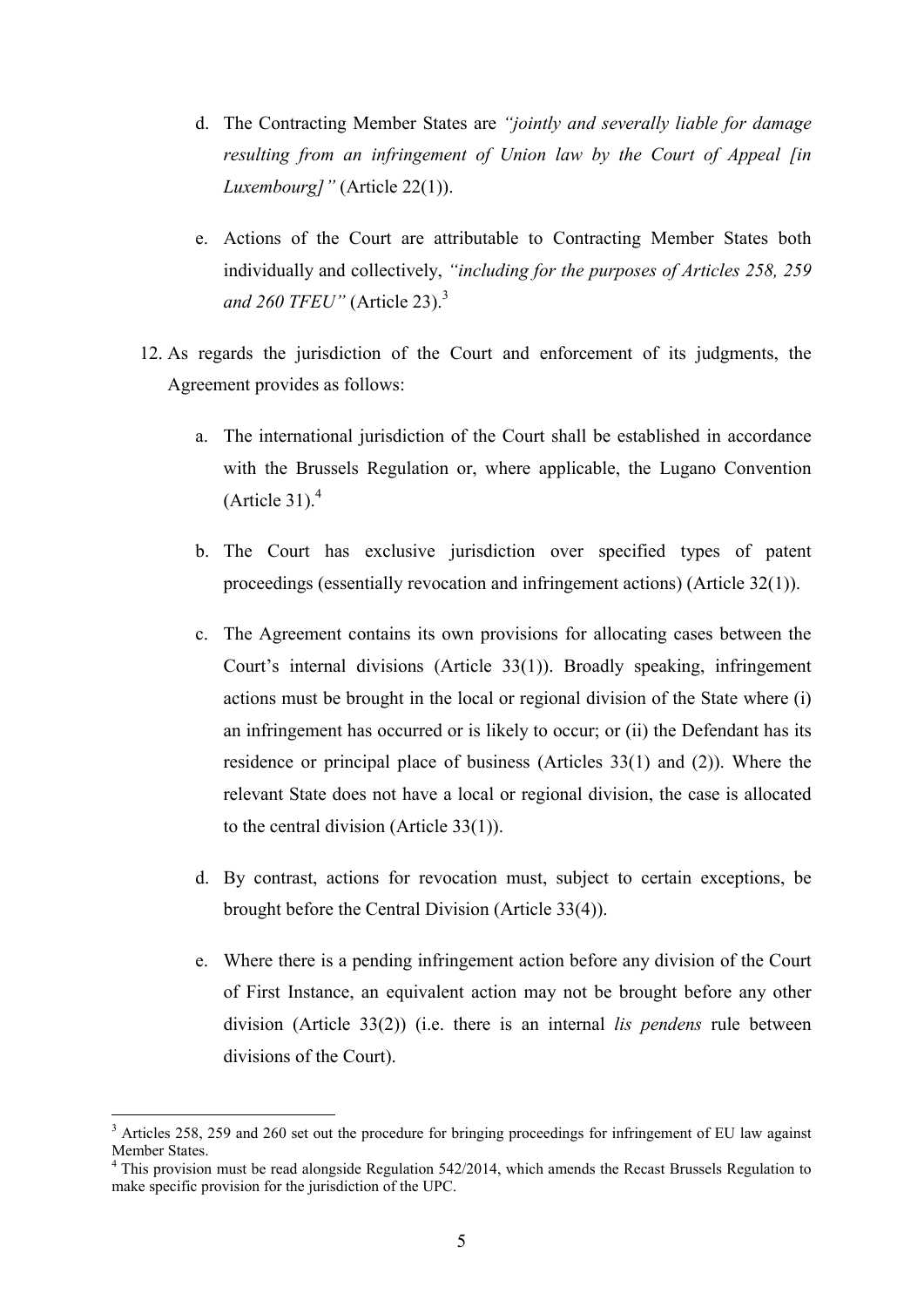- d. The Contracting Member States are *"jointly and severally liable for damage resulting from an infringement of Union law by the Court of Appeal [in Luxembourg]"* (Article 22(1)).
- e. Actions of the Court are attributable to Contracting Member States both individually and collectively, *"including for the purposes of Articles 258, 259 and 260 TFEU"* (Article 23).<sup>3</sup>
- 12. As regards the jurisdiction of the Court and enforcement of its judgments, the Agreement provides as follows:
	- a. The international jurisdiction of the Court shall be established in accordance with the Brussels Regulation or, where applicable, the Lugano Convention (Article 31). $<sup>4</sup>$ </sup>
	- b. The Court has exclusive jurisdiction over specified types of patent proceedings (essentially revocation and infringement actions) (Article 32(1)).
	- c. The Agreement contains its own provisions for allocating cases between the Court's internal divisions (Article 33(1)). Broadly speaking, infringement actions must be brought in the local or regional division of the State where (i) an infringement has occurred or is likely to occur; or (ii) the Defendant has its residence or principal place of business (Articles 33(1) and (2)). Where the relevant State does not have a local or regional division, the case is allocated to the central division (Article 33(1)).
	- d. By contrast, actions for revocation must, subject to certain exceptions, be brought before the Central Division (Article 33(4)).
	- e. Where there is a pending infringement action before any division of the Court of First Instance, an equivalent action may not be brought before any other division (Article 33(2)) (i.e. there is an internal *lis pendens* rule between divisions of the Court).

<sup>&</sup>lt;sup>3</sup> Articles 258, 259 and 260 set out the procedure for bringing proceedings for infringement of EU law against Member States.

 $4$  This provision must be read alongside Regulation 542/2014, which amends the Recast Brussels Regulation to make specific provision for the jurisdiction of the UPC.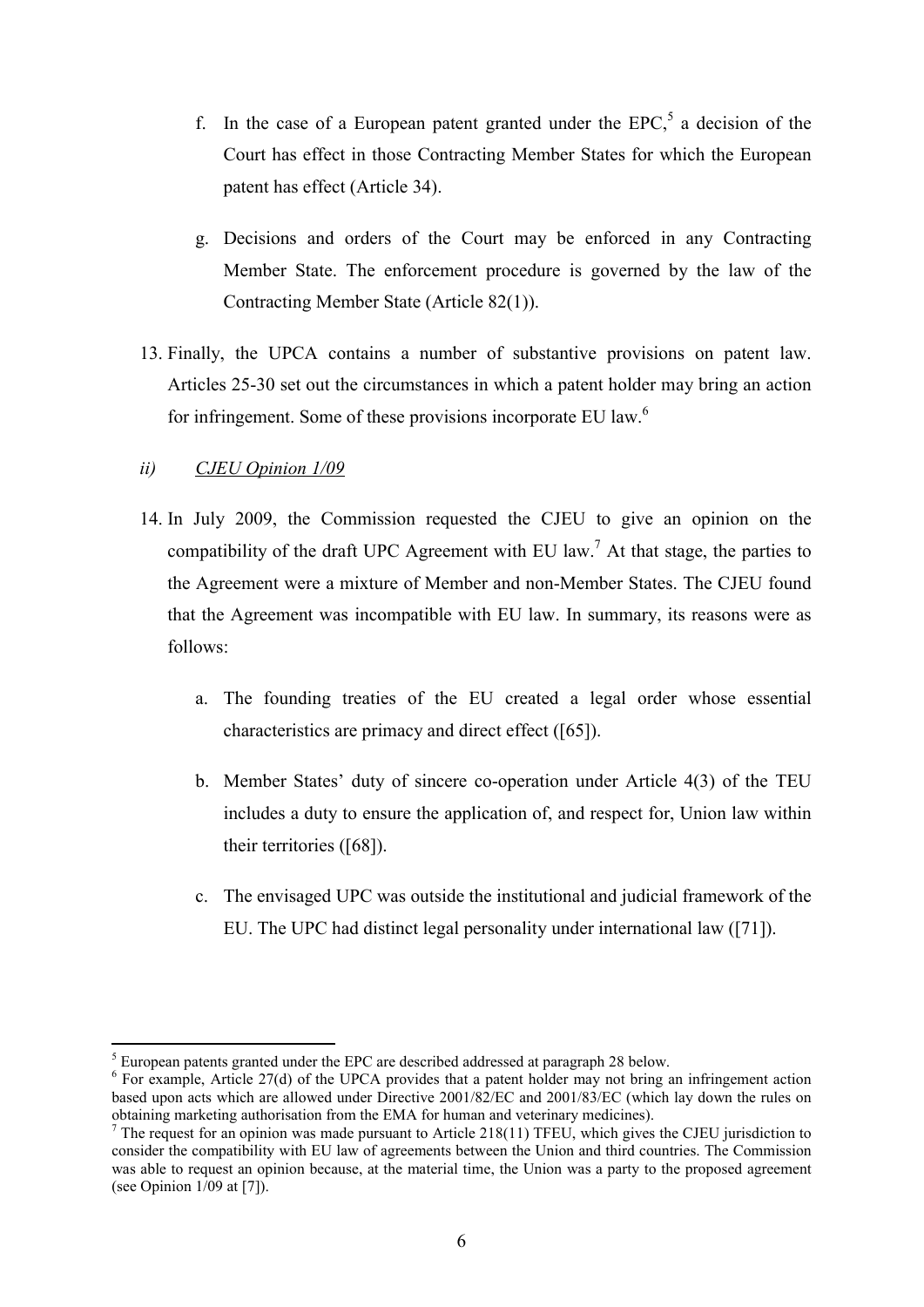- f. In the case of a European patent granted under the  $EPC<sub>1</sub><sup>5</sup>$  a decision of the Court has effect in those Contracting Member States for which the European patent has effect (Article 34).
- g. Decisions and orders of the Court may be enforced in any Contracting Member State. The enforcement procedure is governed by the law of the Contracting Member State (Article 82(1)).
- 13. Finally, the UPCA contains a number of substantive provisions on patent law. Articles 25-30 set out the circumstances in which a patent holder may bring an action for infringement. Some of these provisions incorporate EU law.<sup>6</sup>

## *ii) CJEU Opinion 1/09*

- 14. In July 2009, the Commission requested the CJEU to give an opinion on the compatibility of the draft UPC Agreement with EU law.<sup>7</sup> At that stage, the parties to the Agreement were a mixture of Member and non-Member States. The CJEU found that the Agreement was incompatible with EU law. In summary, its reasons were as follows:
	- a. The founding treaties of the EU created a legal order whose essential characteristics are primacy and direct effect ([65]).
	- b. Member States' duty of sincere co-operation under Article 4(3) of the TEU includes a duty to ensure the application of, and respect for, Union law within their territories ([68]).
	- c. The envisaged UPC was outside the institutional and judicial framework of the EU. The UPC had distinct legal personality under international law ([71]).

<sup>&</sup>lt;sup>5</sup> European patents granted under the EPC are described addressed at paragraph 28 below.

<sup>&</sup>lt;sup>6</sup> For example, Article 27(d) of the UPCA provides that a patent holder may not bring an infringement action based upon acts which are allowed under Directive 2001/82/EC and 2001/83/EC (which lay down the rules on obtaining marketing authorisation from the EMA for human and veterinary medicines).

 $7$  The request for an opinion was made pursuant to Article 218(11) TFEU, which gives the CJEU jurisdiction to consider the compatibility with EU law of agreements between the Union and third countries. The Commission was able to request an opinion because, at the material time, the Union was a party to the proposed agreement (see Opinion 1/09 at [7]).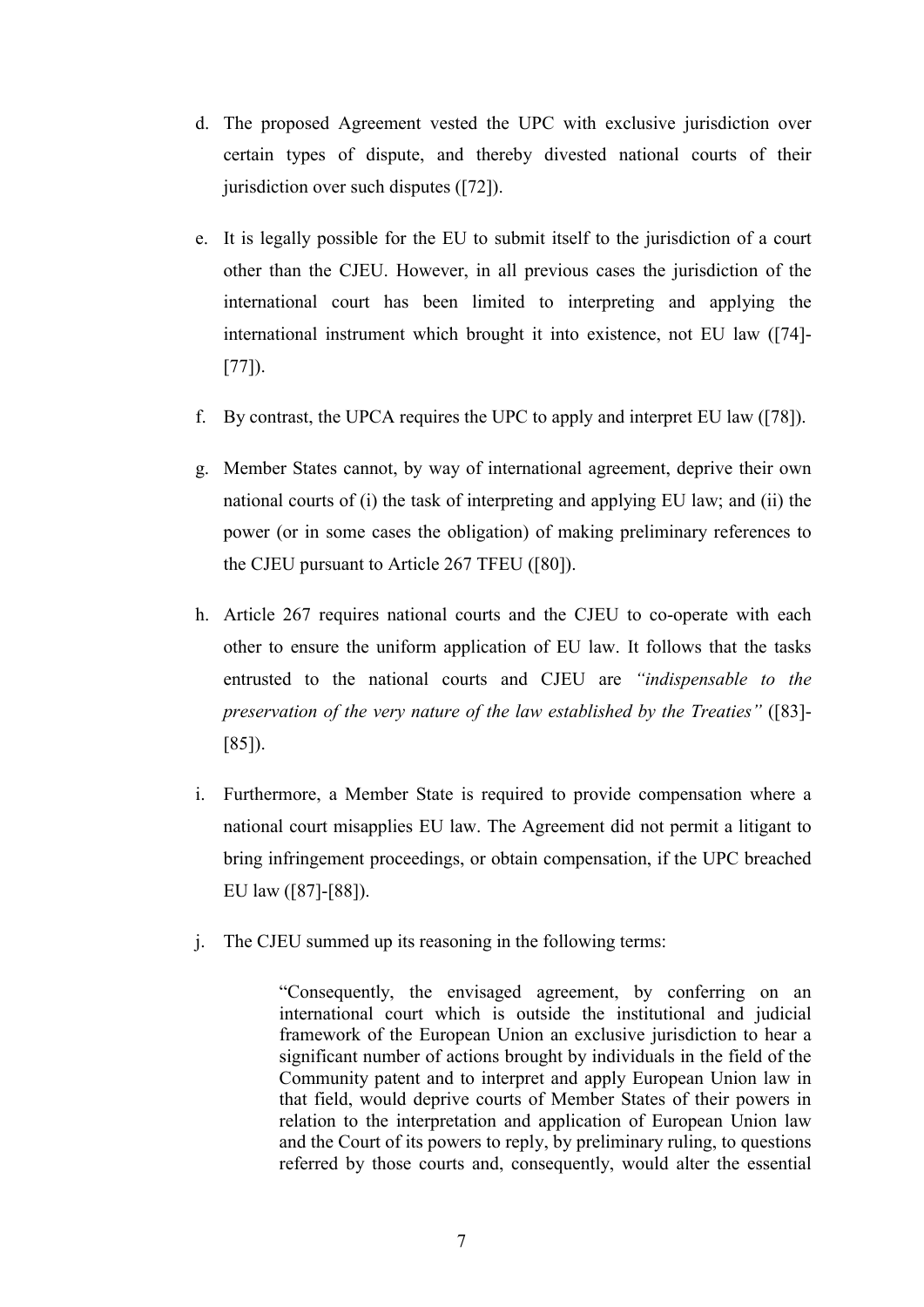- d. The proposed Agreement vested the UPC with exclusive jurisdiction over certain types of dispute, and thereby divested national courts of their jurisdiction over such disputes ([72]).
- e. It is legally possible for the EU to submit itself to the jurisdiction of a court other than the CJEU. However, in all previous cases the jurisdiction of the international court has been limited to interpreting and applying the international instrument which brought it into existence, not EU law ([74]- [77]).
- f. By contrast, the UPCA requires the UPC to apply and interpret EU law ([78]).
- g. Member States cannot, by way of international agreement, deprive their own national courts of (i) the task of interpreting and applying EU law; and (ii) the power (or in some cases the obligation) of making preliminary references to the CJEU pursuant to Article 267 TFEU ([80]).
- h. Article 267 requires national courts and the CJEU to co-operate with each other to ensure the uniform application of EU law. It follows that the tasks entrusted to the national courts and CJEU are *"indispensable to the preservation of the very nature of the law established by the Treaties"* ([83]- [85]).
- i. Furthermore, a Member State is required to provide compensation where a national court misapplies EU law. The Agreement did not permit a litigant to bring infringement proceedings, or obtain compensation, if the UPC breached EU law ([87]-[88]).
- j. The CJEU summed up its reasoning in the following terms:

"Consequently, the envisaged agreement, by conferring on an international court which is outside the institutional and judicial framework of the European Union an exclusive jurisdiction to hear a significant number of actions brought by individuals in the field of the Community patent and to interpret and apply European Union law in that field, would deprive courts of Member States of their powers in relation to the interpretation and application of European Union law and the Court of its powers to reply, by preliminary ruling, to questions referred by those courts and, consequently, would alter the essential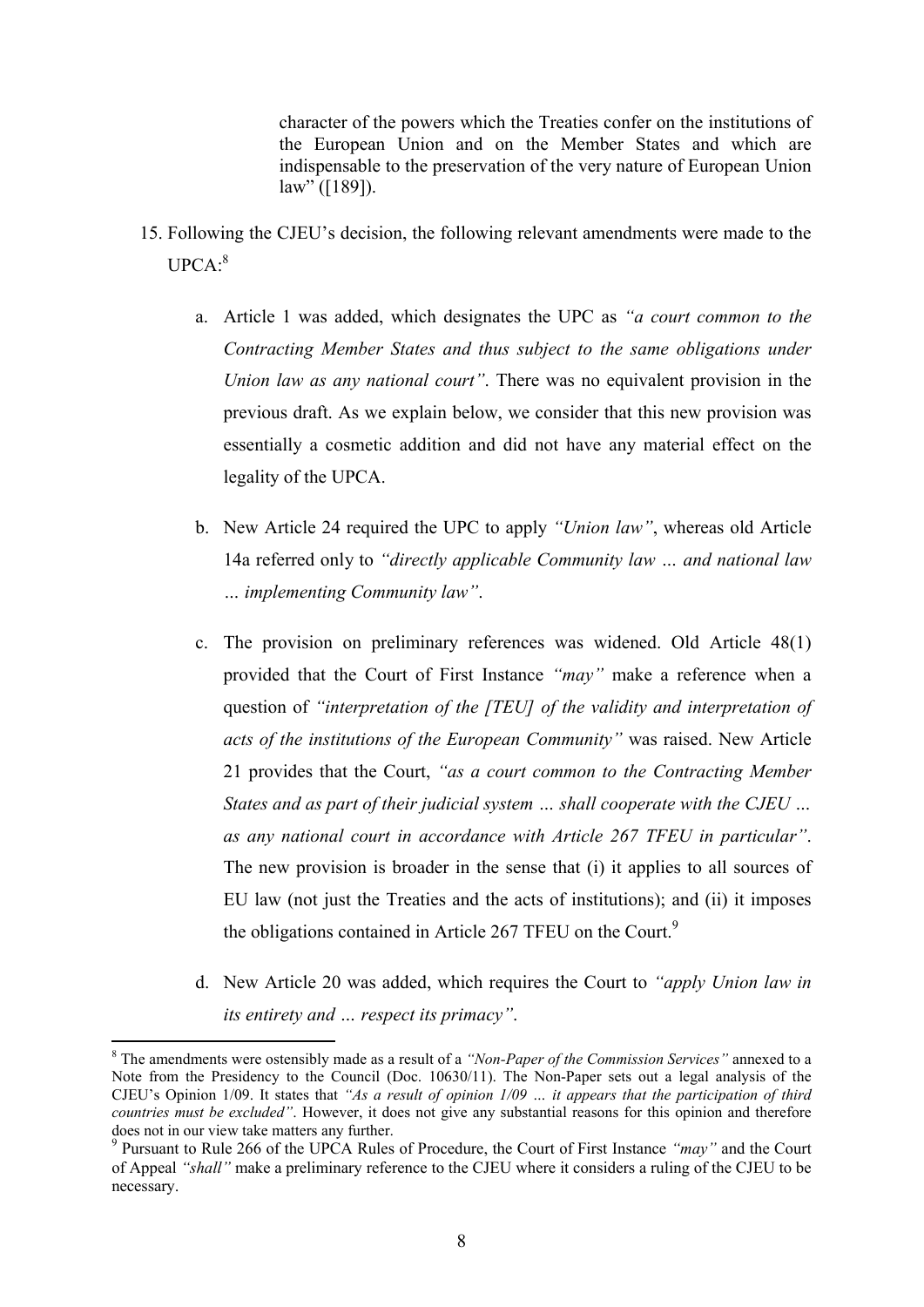character of the powers which the Treaties confer on the institutions of the European Union and on the Member States and which are indispensable to the preservation of the very nature of European Union law" ([189]).

- 15. Following the CJEU's decision, the following relevant amendments were made to the UPCA: 8
	- a. Article 1 was added, which designates the UPC as *"a court common to the Contracting Member States and thus subject to the same obligations under Union law as any national court"*. There was no equivalent provision in the previous draft. As we explain below, we consider that this new provision was essentially a cosmetic addition and did not have any material effect on the legality of the UPCA.
	- b. New Article 24 required the UPC to apply *"Union law"*, whereas old Article 14a referred only to *"directly applicable Community law … and national law … implementing Community law"*.
	- c. The provision on preliminary references was widened. Old Article 48(1) provided that the Court of First Instance *"may"* make a reference when a question of *"interpretation of the [TEU] of the validity and interpretation of acts of the institutions of the European Community"* was raised. New Article 21 provides that the Court, *"as a court common to the Contracting Member States and as part of their judicial system … shall cooperate with the CJEU … as any national court in accordance with Article 267 TFEU in particular"*. The new provision is broader in the sense that (i) it applies to all sources of EU law (not just the Treaties and the acts of institutions); and (ii) it imposes the obligations contained in Article 267 TFEU on the Court.<sup>9</sup>
	- d. New Article 20 was added, which requires the Court to *"apply Union law in its entirety and … respect its primacy"*.

<sup>8</sup> The amendments were ostensibly made as a result of a *"Non-Paper of the Commission Services"* annexed to a Note from the Presidency to the Council (Doc. 10630/11). The Non-Paper sets out a legal analysis of the CJEU's Opinion 1/09. It states that *"As a result of opinion 1/09 … it appears that the participation of third countries must be excluded"*. However, it does not give any substantial reasons for this opinion and therefore does not in our view take matters any further.

<sup>9</sup> Pursuant to Rule 266 of the UPCA Rules of Procedure, the Court of First Instance *"may"* and the Court of Appeal *"shall"* make a preliminary reference to the CJEU where it considers a ruling of the CJEU to be necessary.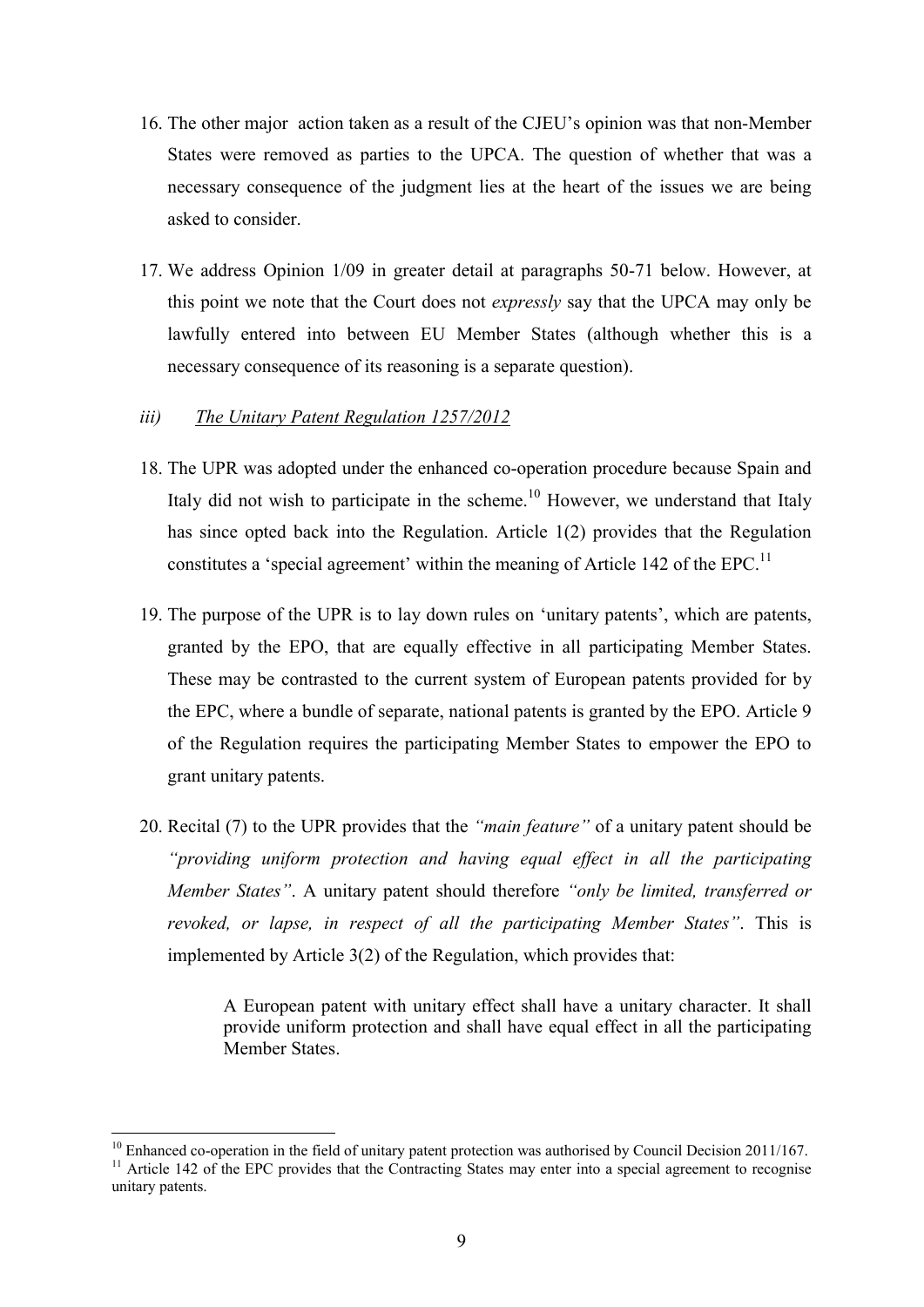- 16. The other major action taken as a result of the CJEU's opinion was that non-Member States were removed as parties to the UPCA. The question of whether that was a necessary consequence of the judgment lies at the heart of the issues we are being asked to consider.
- 17. We address Opinion 1/09 in greater detail at paragraphs 50-71 below. However, at this point we note that the Court does not *expressly* say that the UPCA may only be lawfully entered into between EU Member States (although whether this is a necessary consequence of its reasoning is a separate question).
- *iii) The Unitary Patent Regulation 1257/2012*
- 18. The UPR was adopted under the enhanced co-operation procedure because Spain and Italy did not wish to participate in the scheme.<sup>10</sup> However, we understand that Italy has since opted back into the Regulation. Article 1(2) provides that the Regulation constitutes a 'special agreement' within the meaning of Article 142 of the EPC.<sup>11</sup>
- 19. The purpose of the UPR is to lay down rules on 'unitary patents', which are patents, granted by the EPO, that are equally effective in all participating Member States. These may be contrasted to the current system of European patents provided for by the EPC, where a bundle of separate, national patents is granted by the EPO. Article 9 of the Regulation requires the participating Member States to empower the EPO to grant unitary patents.
- 20. Recital (7) to the UPR provides that the *"main feature"* of a unitary patent should be *"providing uniform protection and having equal effect in all the participating Member States"*. A unitary patent should therefore *"only be limited, transferred or revoked, or lapse, in respect of all the participating Member States"*. This is implemented by Article 3(2) of the Regulation, which provides that:

A European patent with unitary effect shall have a unitary character. It shall provide uniform protection and shall have equal effect in all the participating Member States.

 $10$  Enhanced co-operation in the field of unitary patent protection was authorised by Council Decision 2011/167.

<sup>&</sup>lt;sup>11</sup> Article 142 of the EPC provides that the Contracting States may enter into a special agreement to recognise unitary patents.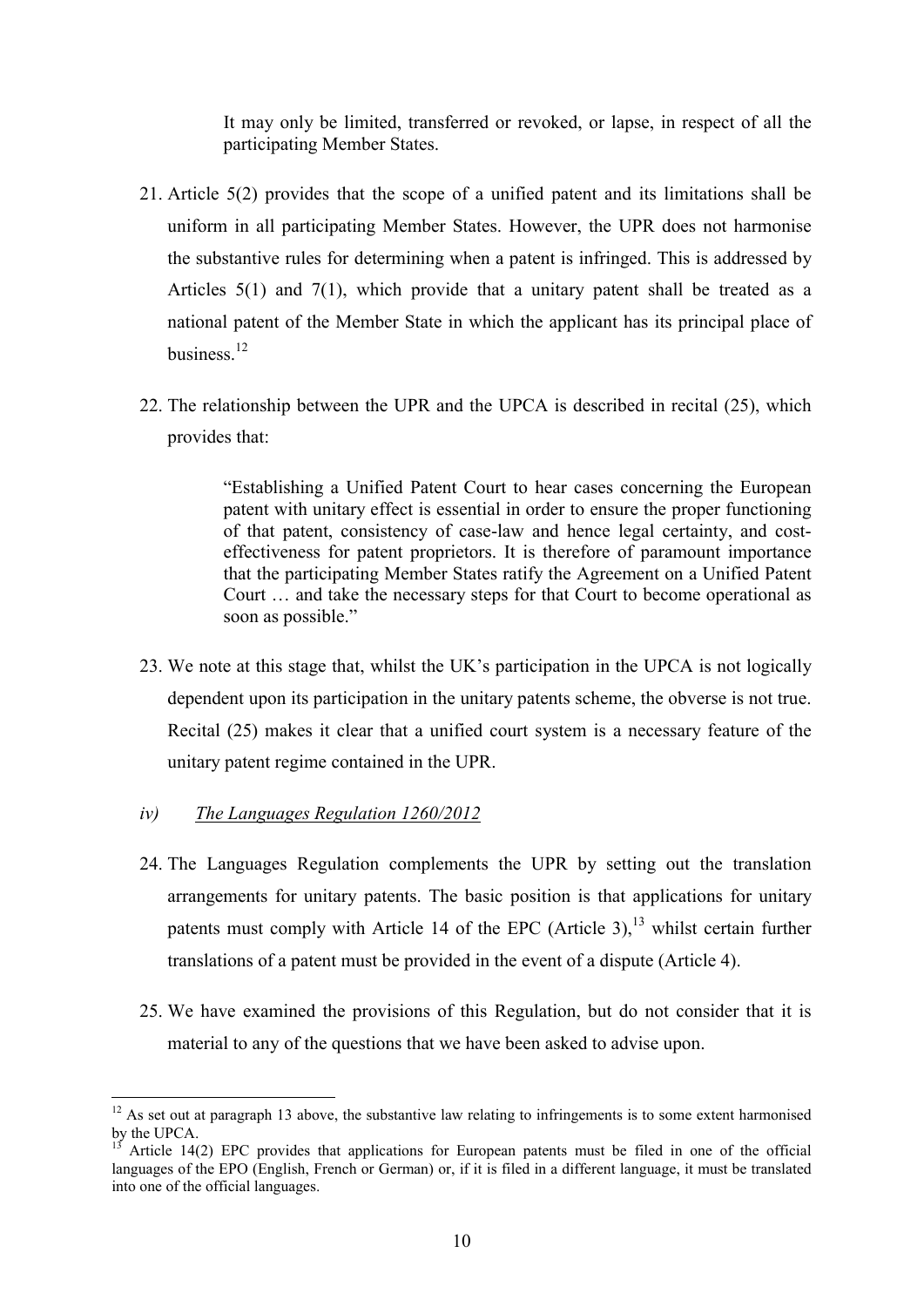It may only be limited, transferred or revoked, or lapse, in respect of all the participating Member States.

- 21. Article 5(2) provides that the scope of a unified patent and its limitations shall be uniform in all participating Member States. However, the UPR does not harmonise the substantive rules for determining when a patent is infringed. This is addressed by Articles 5(1) and 7(1), which provide that a unitary patent shall be treated as a national patent of the Member State in which the applicant has its principal place of business<sup>12</sup>
- 22. The relationship between the UPR and the UPCA is described in recital (25), which provides that:

"Establishing a Unified Patent Court to hear cases concerning the European patent with unitary effect is essential in order to ensure the proper functioning of that patent, consistency of case-law and hence legal certainty, and costeffectiveness for patent proprietors. It is therefore of paramount importance that the participating Member States ratify the Agreement on a Unified Patent Court … and take the necessary steps for that Court to become operational as soon as possible."

- 23. We note at this stage that, whilst the UK's participation in the UPCA is not logically dependent upon its participation in the unitary patents scheme, the obverse is not true. Recital (25) makes it clear that a unified court system is a necessary feature of the unitary patent regime contained in the UPR.
- *iv) The Languages Regulation 1260/2012*

- 24. The Languages Regulation complements the UPR by setting out the translation arrangements for unitary patents. The basic position is that applications for unitary patents must comply with Article 14 of the EPC (Article 3),  $13$  whilst certain further translations of a patent must be provided in the event of a dispute (Article 4).
- 25. We have examined the provisions of this Regulation, but do not consider that it is material to any of the questions that we have been asked to advise upon.

 $12$  As set out at paragraph 13 above, the substantive law relating to infringements is to some extent harmonised by the UPCA.

Article 14(2) EPC provides that applications for European patents must be filed in one of the official languages of the EPO (English, French or German) or, if it is filed in a different language, it must be translated into one of the official languages.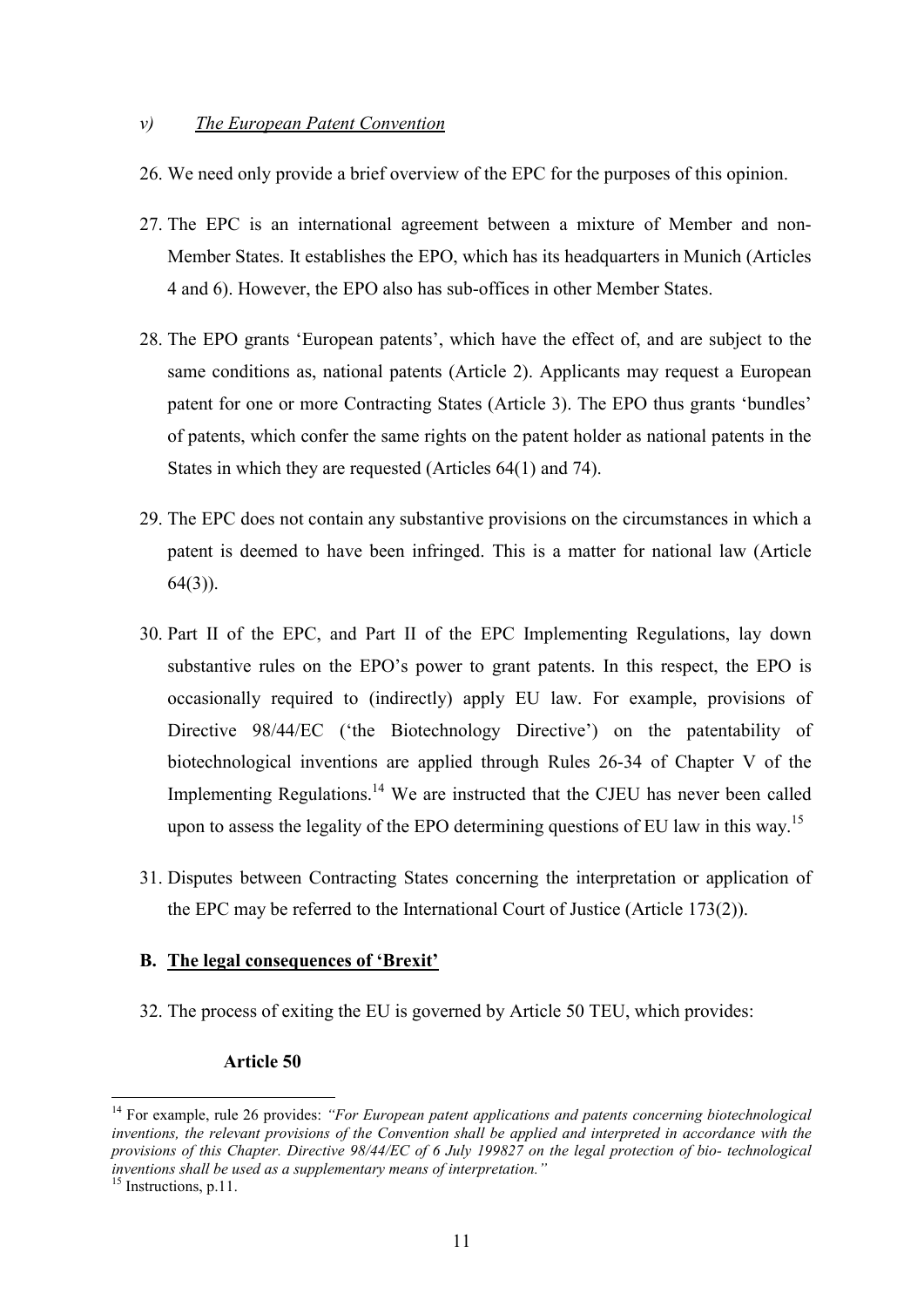#### *v) The European Patent Convention*

- 26. We need only provide a brief overview of the EPC for the purposes of this opinion.
- 27. The EPC is an international agreement between a mixture of Member and non-Member States. It establishes the EPO, which has its headquarters in Munich (Articles 4 and 6). However, the EPO also has sub-offices in other Member States.
- 28. The EPO grants 'European patents', which have the effect of, and are subject to the same conditions as, national patents (Article 2). Applicants may request a European patent for one or more Contracting States (Article 3). The EPO thus grants 'bundles' of patents, which confer the same rights on the patent holder as national patents in the States in which they are requested (Articles 64(1) and 74).
- 29. The EPC does not contain any substantive provisions on the circumstances in which a patent is deemed to have been infringed. This is a matter for national law (Article 64(3)).
- 30. Part II of the EPC, and Part II of the EPC Implementing Regulations, lay down substantive rules on the EPO's power to grant patents. In this respect, the EPO is occasionally required to (indirectly) apply EU law. For example, provisions of Directive 98/44/EC ('the Biotechnology Directive') on the patentability of biotechnological inventions are applied through Rules 26-34 of Chapter V of the Implementing Regulations.<sup>14</sup> We are instructed that the CJEU has never been called upon to assess the legality of the EPO determining questions of EU law in this way.<sup>15</sup>
- 31. Disputes between Contracting States concerning the interpretation or application of the EPC may be referred to the International Court of Justice (Article 173(2)).

### **B. The legal consequences of 'Brexit'**

32. The process of exiting the EU is governed by Article 50 TEU, which provides:

## **Article 50**

<sup>14</sup> For example, rule 26 provides: *"For European patent applications and patents concerning biotechnological*  inventions, the relevant provisions of the Convention shall be applied and interpreted in accordance with the *provisions of this Chapter. Directive 98/44/EC of 6 July 199827 on the legal protection of bio- technological inventions shall be used as a supplementary means of interpretation."*

<sup>&</sup>lt;sup>15</sup> Instructions, p.11.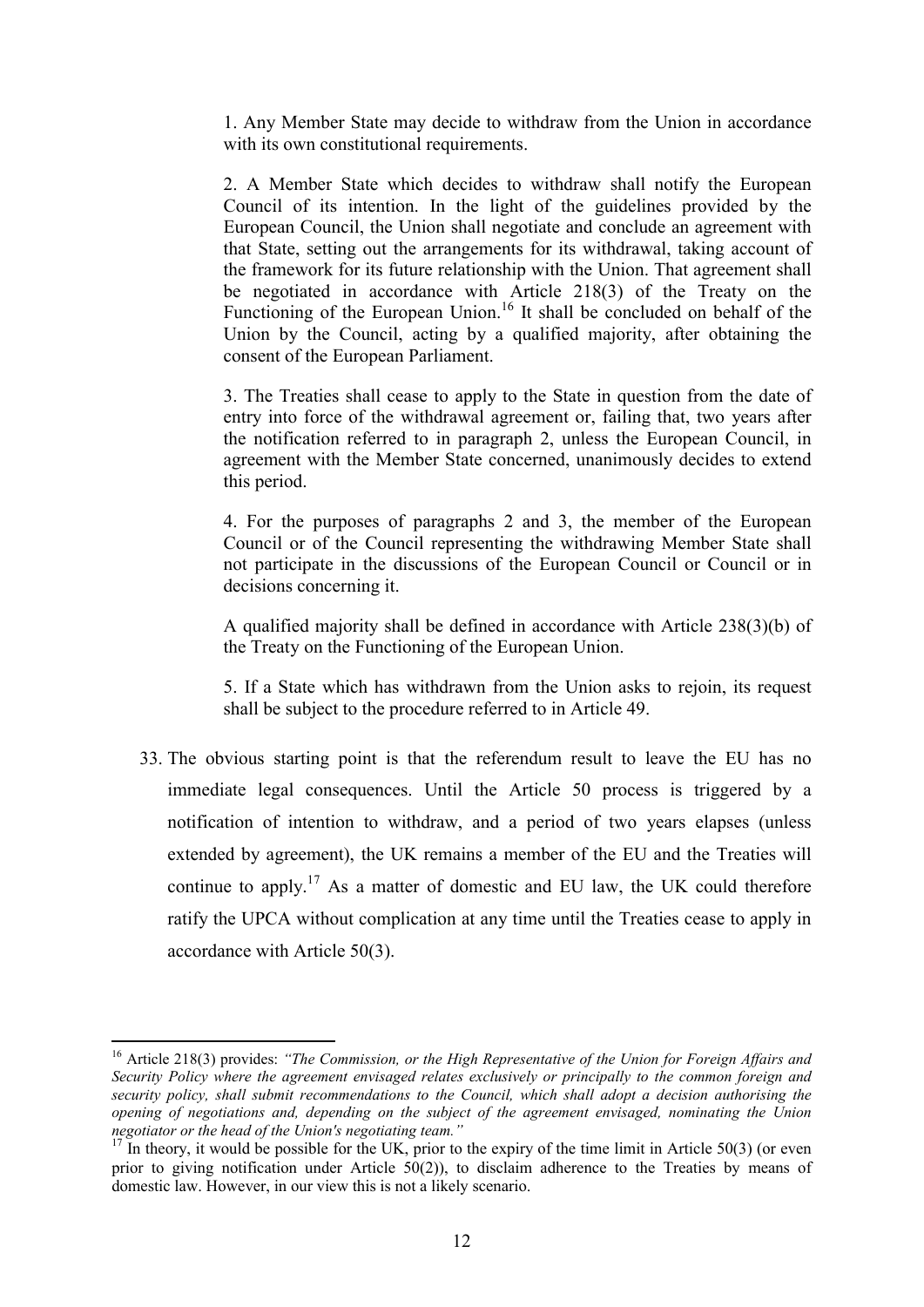1. Any Member State may decide to withdraw from the Union in accordance with its own constitutional requirements.

2. A Member State which decides to withdraw shall notify the European Council of its intention. In the light of the guidelines provided by the European Council, the Union shall negotiate and conclude an agreement with that State, setting out the arrangements for its withdrawal, taking account of the framework for its future relationship with the Union. That agreement shall be negotiated in accordance with Article 218(3) of the Treaty on the Functioning of the European Union.<sup>16</sup> It shall be concluded on behalf of the Union by the Council, acting by a qualified majority, after obtaining the consent of the European Parliament.

3. The Treaties shall cease to apply to the State in question from the date of entry into force of the withdrawal agreement or, failing that, two years after the notification referred to in paragraph 2, unless the European Council, in agreement with the Member State concerned, unanimously decides to extend this period.

4. For the purposes of paragraphs 2 and 3, the member of the European Council or of the Council representing the withdrawing Member State shall not participate in the discussions of the European Council or Council or in decisions concerning it.

A qualified majority shall be defined in accordance with Article 238(3)(b) of the Treaty on the Functioning of the European Union.

5. If a State which has withdrawn from the Union asks to rejoin, its request shall be subject to the procedure referred to in Article 49.

33. The obvious starting point is that the referendum result to leave the EU has no immediate legal consequences. Until the Article 50 process is triggered by a notification of intention to withdraw, and a period of two years elapses (unless extended by agreement), the UK remains a member of the EU and the Treaties will continue to apply.<sup>17</sup> As a matter of domestic and EU law, the UK could therefore ratify the UPCA without complication at any time until the Treaties cease to apply in accordance with Article 50(3).

<sup>16</sup> Article 218(3) provides: *"The Commission, or the High Representative of the Union for Foreign Affairs and Security Policy where the agreement envisaged relates exclusively or principally to the common foreign and security policy, shall submit recommendations to the Council, which shall adopt a decision authorising the opening of negotiations and, depending on the subject of the agreement envisaged, nominating the Union negotiator or the head of the Union's negotiating team."*

 $17$  In theory, it would be possible for the UK, prior to the expiry of the time limit in Article 50(3) (or even prior to giving notification under Article 50(2)), to disclaim adherence to the Treaties by means of domestic law. However, in our view this is not a likely scenario.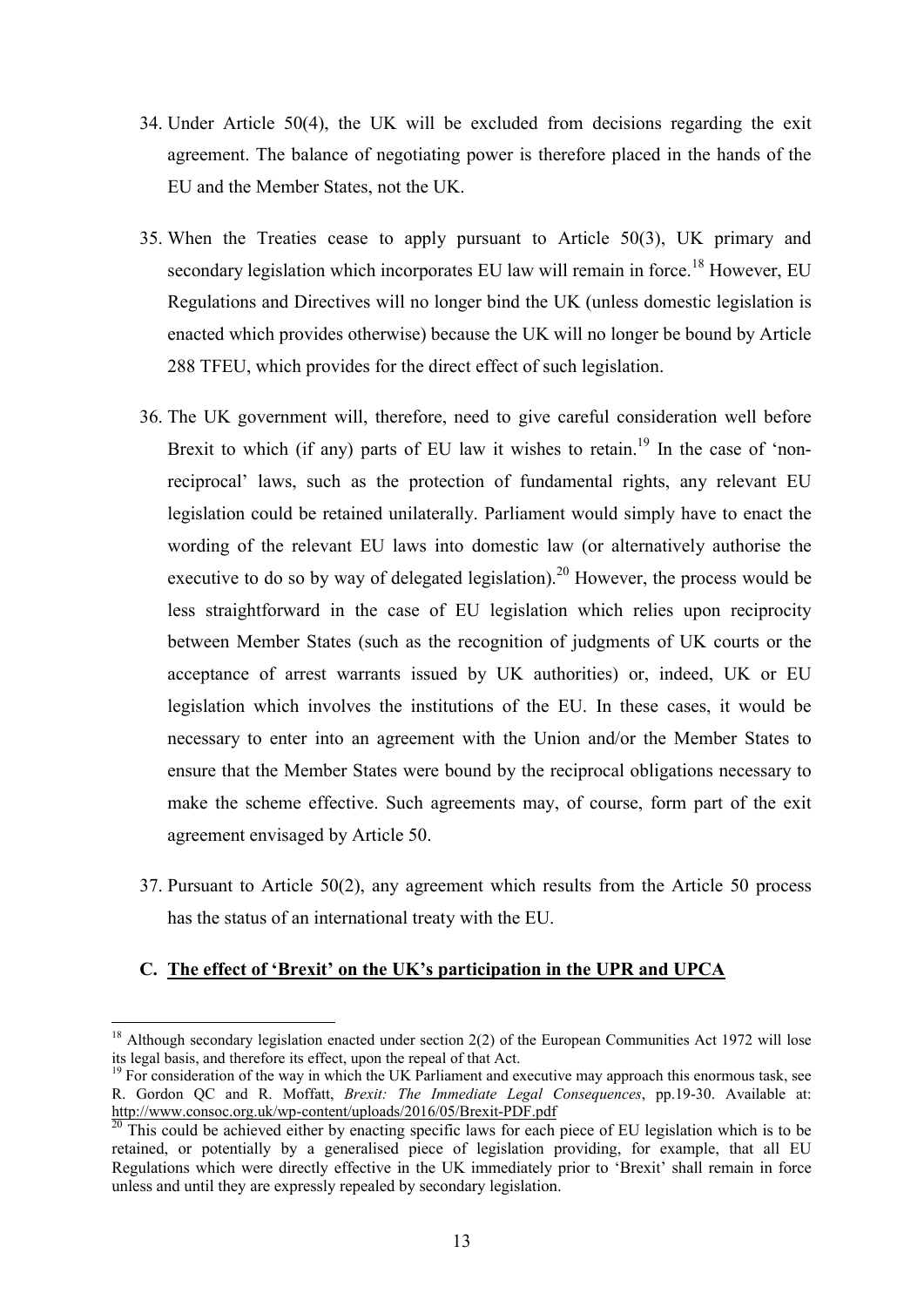- 34. Under Article 50(4), the UK will be excluded from decisions regarding the exit agreement. The balance of negotiating power is therefore placed in the hands of the EU and the Member States, not the UK.
- 35. When the Treaties cease to apply pursuant to Article 50(3), UK primary and secondary legislation which incorporates EU law will remain in force.<sup>18</sup> However, EU Regulations and Directives will no longer bind the UK (unless domestic legislation is enacted which provides otherwise) because the UK will no longer be bound by Article 288 TFEU, which provides for the direct effect of such legislation.
- 36. The UK government will, therefore, need to give careful consideration well before Brexit to which (if any) parts of EU law it wishes to retain.<sup>19</sup> In the case of 'nonreciprocal' laws, such as the protection of fundamental rights, any relevant EU legislation could be retained unilaterally. Parliament would simply have to enact the wording of the relevant EU laws into domestic law (or alternatively authorise the executive to do so by way of delegated legislation).<sup>20</sup> However, the process would be less straightforward in the case of EU legislation which relies upon reciprocity between Member States (such as the recognition of judgments of UK courts or the acceptance of arrest warrants issued by UK authorities) or, indeed, UK or EU legislation which involves the institutions of the EU. In these cases, it would be necessary to enter into an agreement with the Union and/or the Member States to ensure that the Member States were bound by the reciprocal obligations necessary to make the scheme effective. Such agreements may, of course, form part of the exit agreement envisaged by Article 50.
- 37. Pursuant to Article 50(2), any agreement which results from the Article 50 process has the status of an international treaty with the EU.

# **C. The effect of 'Brexit' on the UK's participation in the UPR and UPCA**

 $18$  Although secondary legislation enacted under section 2(2) of the European Communities Act 1972 will lose its legal basis, and therefore its effect, upon the repeal of that Act.

<sup>&</sup>lt;sup>19</sup> For consideration of the way in which the UK Parliament and executive may approach this enormous task, see R. Gordon QC and R. Moffatt, *Brexit: The Immediate Legal Consequences*, pp.19-30. Available at: http://www.consoc.org.uk/wp-content/uploads/2016/05/Brexit-PDF.pdf

This could be achieved either by enacting specific laws for each piece of EU legislation which is to be retained, or potentially by a generalised piece of legislation providing, for example, that all EU Regulations which were directly effective in the UK immediately prior to 'Brexit' shall remain in force unless and until they are expressly repealed by secondary legislation.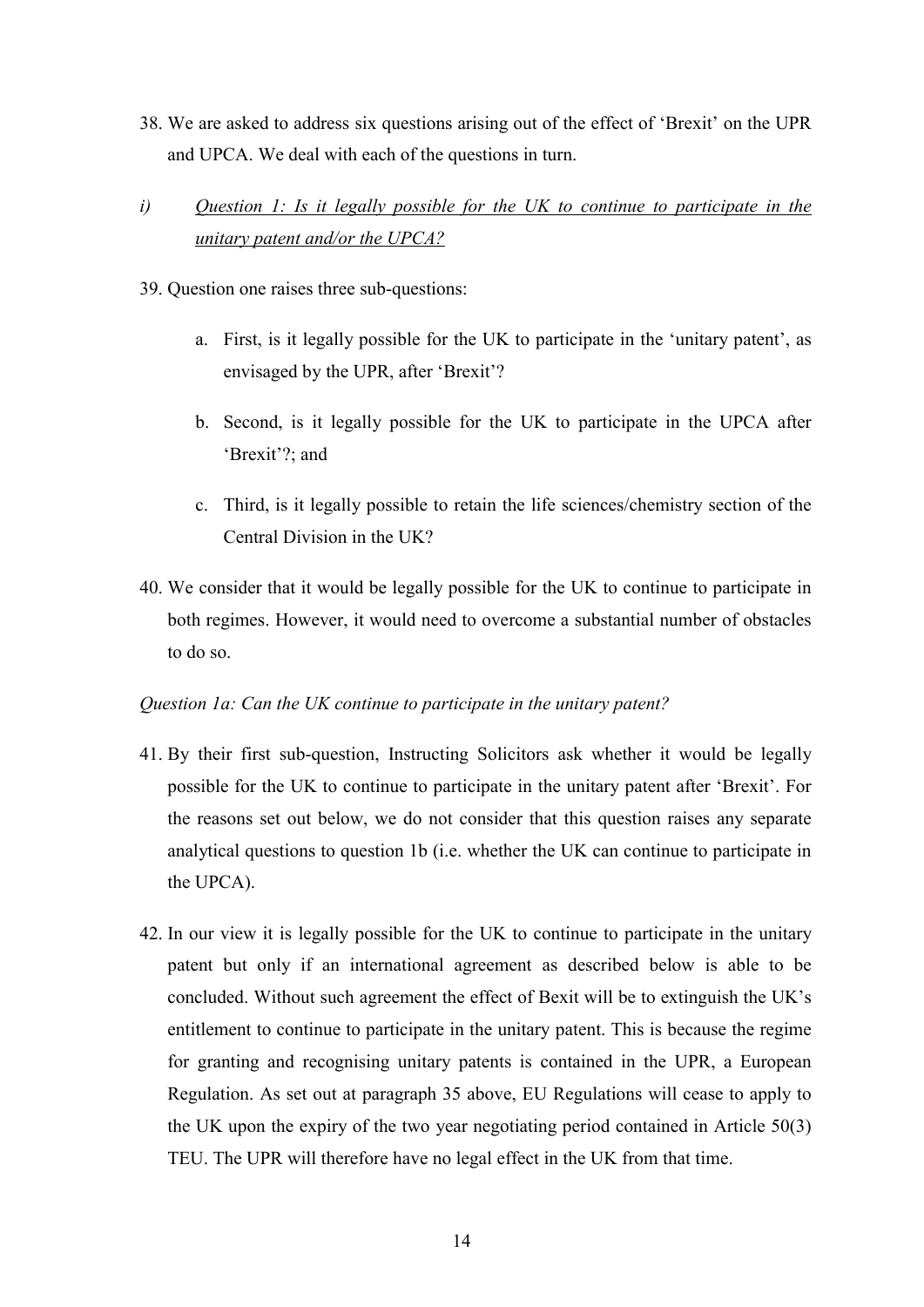- 38. We are asked to address six questions arising out of the effect of 'Brexit' on the UPR and UPCA. We deal with each of the questions in turn.
- *i) Question 1: Is it legally possible for the UK to continue to participate in the unitary patent and/or the UPCA?*
- 39. Question one raises three sub-questions:
	- a. First, is it legally possible for the UK to participate in the 'unitary patent', as envisaged by the UPR, after 'Brexit'?
	- b. Second, is it legally possible for the UK to participate in the UPCA after 'Brexit'?; and
	- c. Third, is it legally possible to retain the life sciences/chemistry section of the Central Division in the UK?
- 40. We consider that it would be legally possible for the UK to continue to participate in both regimes. However, it would need to overcome a substantial number of obstacles to do so.

## *Question 1a: Can the UK continue to participate in the unitary patent?*

- 41. By their first sub-question, Instructing Solicitors ask whether it would be legally possible for the UK to continue to participate in the unitary patent after 'Brexit'. For the reasons set out below, we do not consider that this question raises any separate analytical questions to question 1b (i.e. whether the UK can continue to participate in the UPCA).
- 42. In our view it is legally possible for the UK to continue to participate in the unitary patent but only if an international agreement as described below is able to be concluded. Without such agreement the effect of Bexit will be to extinguish the UK's entitlement to continue to participate in the unitary patent. This is because the regime for granting and recognising unitary patents is contained in the UPR, a European Regulation. As set out at paragraph 35 above, EU Regulations will cease to apply to the UK upon the expiry of the two year negotiating period contained in Article 50(3) TEU. The UPR will therefore have no legal effect in the UK from that time.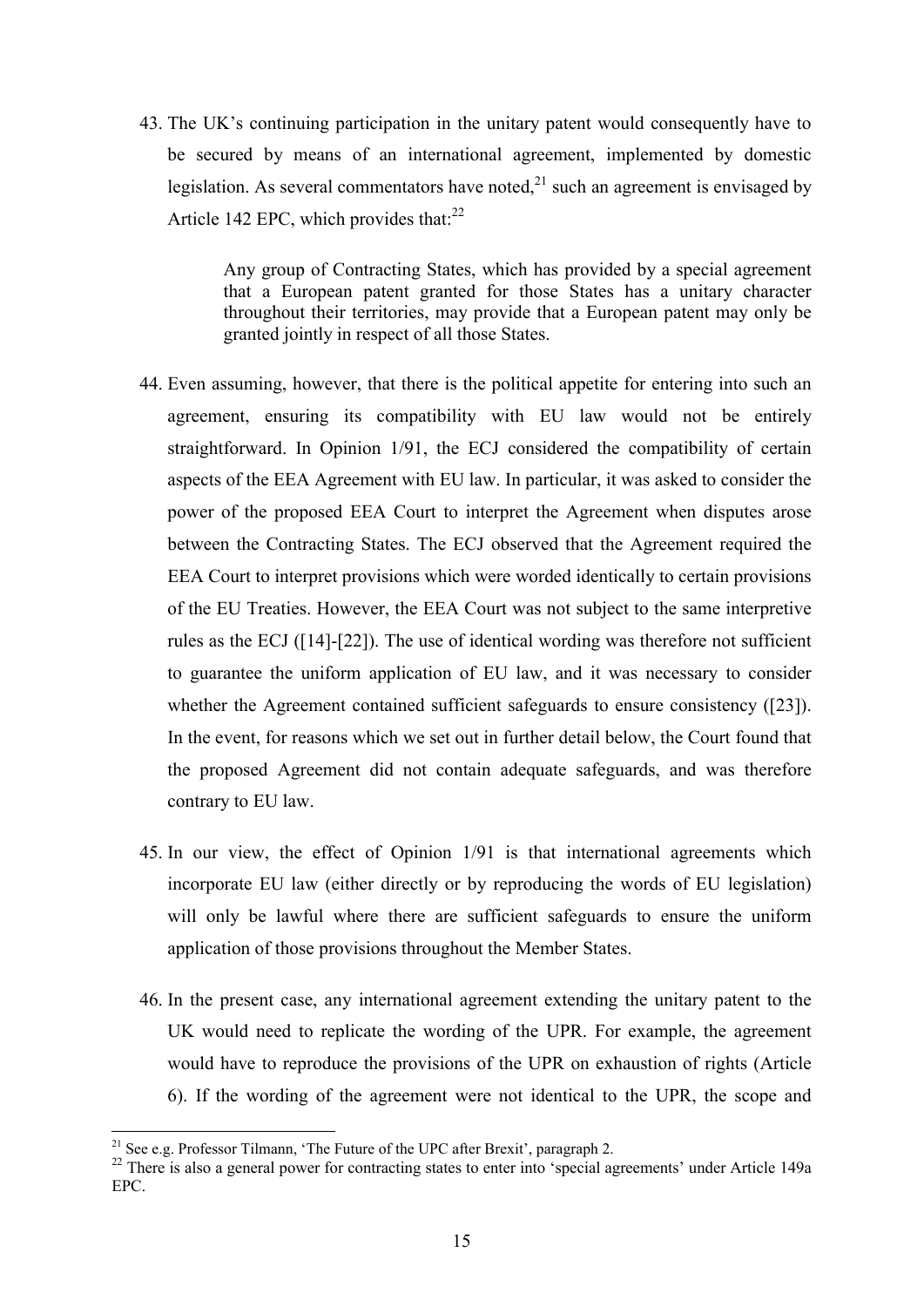43. The UK's continuing participation in the unitary patent would consequently have to be secured by means of an international agreement, implemented by domestic legislation. As several commentators have noted, $^{21}$  such an agreement is envisaged by Article 142 EPC, which provides that:<sup>22</sup>

> Any group of Contracting States, which has provided by a special agreement that a European patent granted for those States has a unitary character throughout their territories, may provide that a European patent may only be granted jointly in respect of all those States.

- 44. Even assuming, however, that there is the political appetite for entering into such an agreement, ensuring its compatibility with EU law would not be entirely straightforward. In Opinion 1/91, the ECJ considered the compatibility of certain aspects of the EEA Agreement with EU law. In particular, it was asked to consider the power of the proposed EEA Court to interpret the Agreement when disputes arose between the Contracting States. The ECJ observed that the Agreement required the EEA Court to interpret provisions which were worded identically to certain provisions of the EU Treaties. However, the EEA Court was not subject to the same interpretive rules as the ECJ ([14]-[22]). The use of identical wording was therefore not sufficient to guarantee the uniform application of EU law, and it was necessary to consider whether the Agreement contained sufficient safeguards to ensure consistency ([23]). In the event, for reasons which we set out in further detail below, the Court found that the proposed Agreement did not contain adequate safeguards, and was therefore contrary to EU law.
- 45. In our view, the effect of Opinion 1/91 is that international agreements which incorporate EU law (either directly or by reproducing the words of EU legislation) will only be lawful where there are sufficient safeguards to ensure the uniform application of those provisions throughout the Member States.
- 46. In the present case, any international agreement extending the unitary patent to the UK would need to replicate the wording of the UPR. For example, the agreement would have to reproduce the provisions of the UPR on exhaustion of rights (Article 6). If the wording of the agreement were not identical to the UPR, the scope and

<sup>&</sup>lt;sup>21</sup> See e.g. Professor Tilmann, 'The Future of the UPC after Brexit', paragraph 2.

<sup>&</sup>lt;sup>22</sup> There is also a general power for contracting states to enter into 'special agreements' under Article 149a EPC.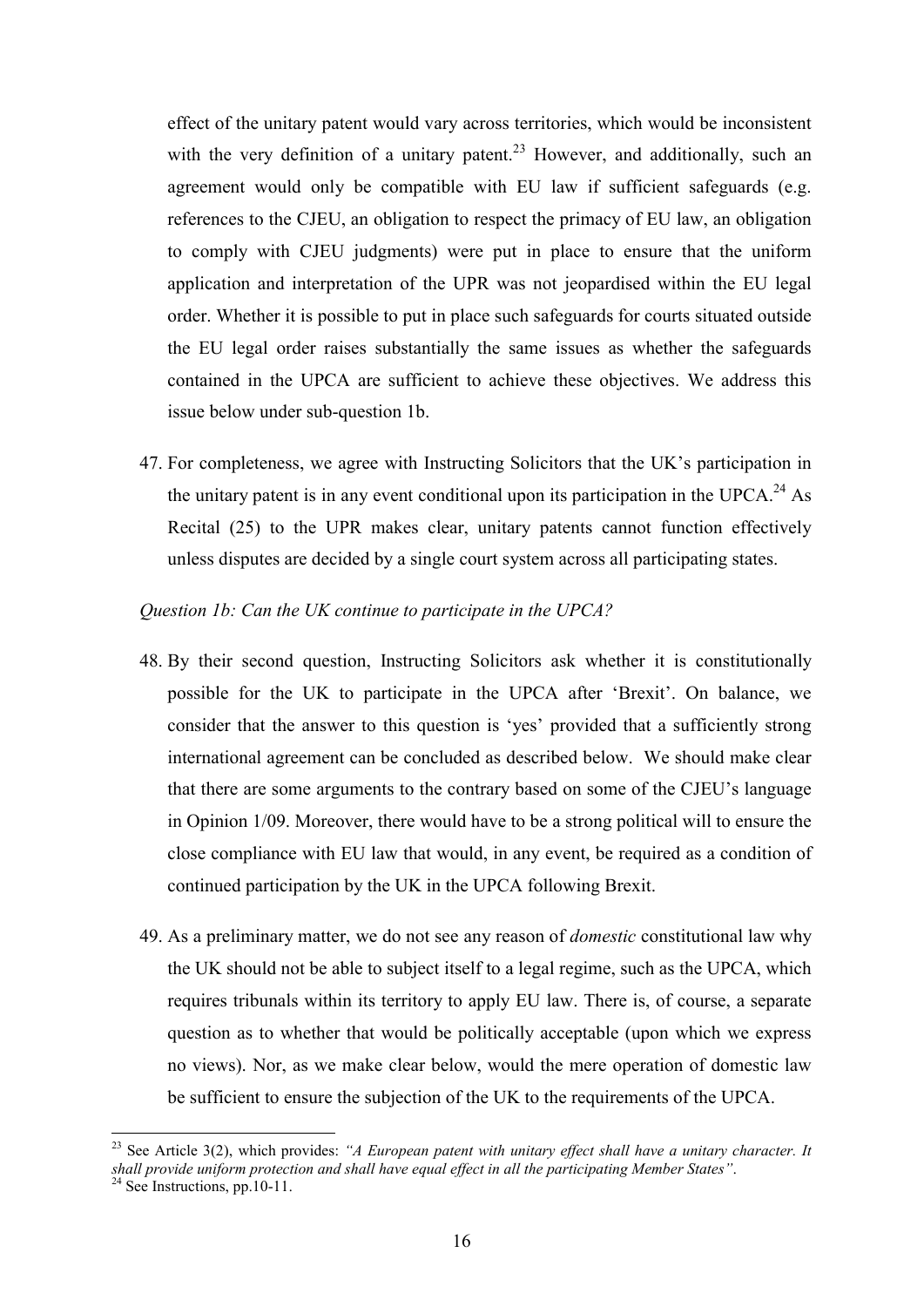effect of the unitary patent would vary across territories, which would be inconsistent with the very definition of a unitary patent.<sup>23</sup> However, and additionally, such an agreement would only be compatible with EU law if sufficient safeguards (e.g. references to the CJEU, an obligation to respect the primacy of EU law, an obligation to comply with CJEU judgments) were put in place to ensure that the uniform application and interpretation of the UPR was not jeopardised within the EU legal order. Whether it is possible to put in place such safeguards for courts situated outside the EU legal order raises substantially the same issues as whether the safeguards contained in the UPCA are sufficient to achieve these objectives. We address this issue below under sub-question 1b.

47. For completeness, we agree with Instructing Solicitors that the UK's participation in the unitary patent is in any event conditional upon its participation in the UPCA.<sup>24</sup> As Recital (25) to the UPR makes clear, unitary patents cannot function effectively unless disputes are decided by a single court system across all participating states.

### *Question 1b: Can the UK continue to participate in the UPCA?*

- 48. By their second question, Instructing Solicitors ask whether it is constitutionally possible for the UK to participate in the UPCA after 'Brexit'. On balance, we consider that the answer to this question is 'yes' provided that a sufficiently strong international agreement can be concluded as described below. We should make clear that there are some arguments to the contrary based on some of the CJEU's language in Opinion 1/09. Moreover, there would have to be a strong political will to ensure the close compliance with EU law that would, in any event, be required as a condition of continued participation by the UK in the UPCA following Brexit.
- 49. As a preliminary matter, we do not see any reason of *domestic* constitutional law why the UK should not be able to subject itself to a legal regime, such as the UPCA, which requires tribunals within its territory to apply EU law. There is, of course, a separate question as to whether that would be politically acceptable (upon which we express no views). Nor, as we make clear below, would the mere operation of domestic law be sufficient to ensure the subjection of the UK to the requirements of the UPCA.

<sup>&</sup>lt;sup>23</sup> See Article 3(2), which provides: *"A European patent with unitary effect shall have a unitary character. It shall provide uniform protection and shall have equal effect in all the participating Member States"*.

 $24$  See Instructions, pp. 10-11.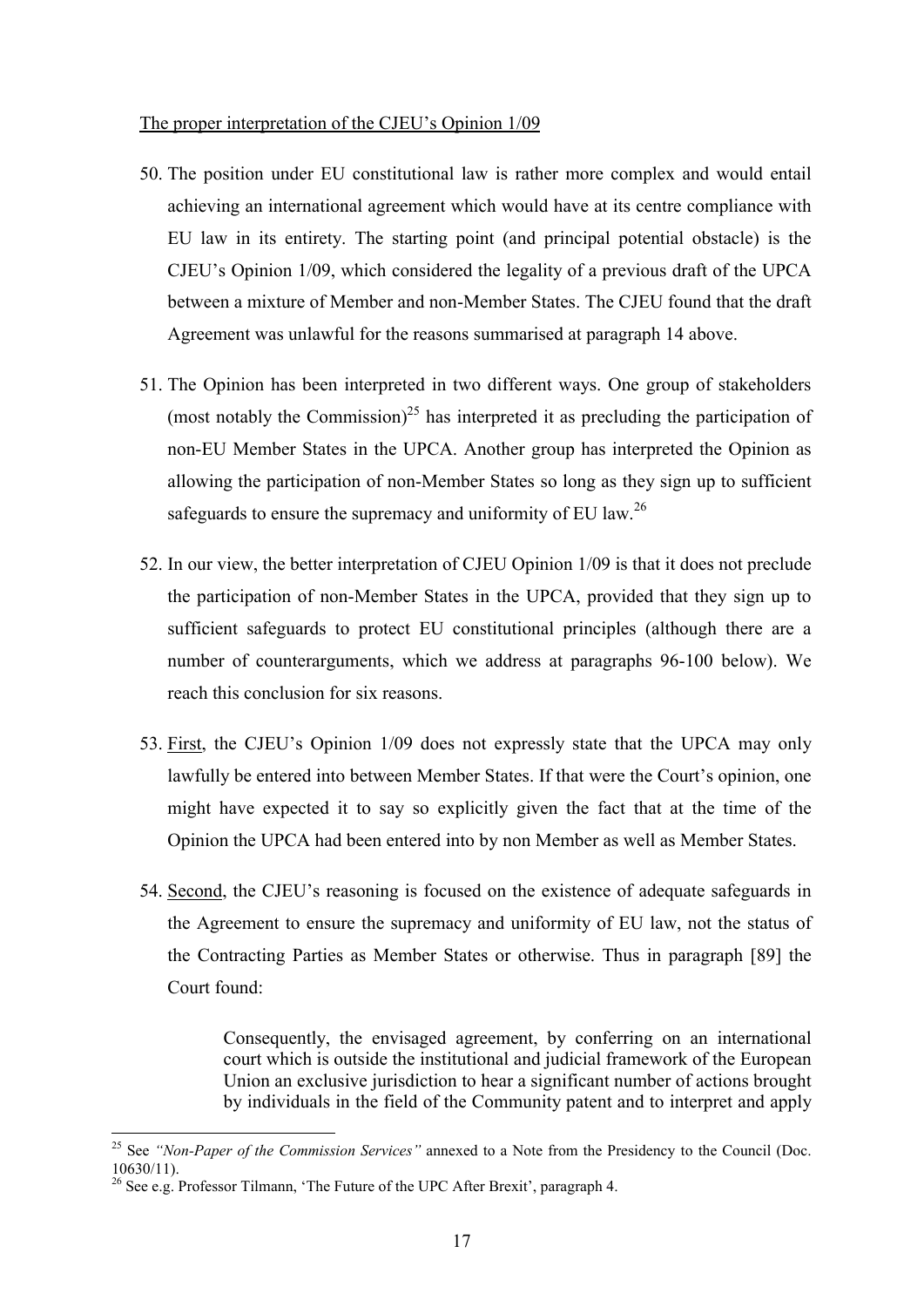#### The proper interpretation of the CJEU's Opinion 1/09

- 50. The position under EU constitutional law is rather more complex and would entail achieving an international agreement which would have at its centre compliance with EU law in its entirety. The starting point (and principal potential obstacle) is the CJEU's Opinion 1/09, which considered the legality of a previous draft of the UPCA between a mixture of Member and non-Member States. The CJEU found that the draft Agreement was unlawful for the reasons summarised at paragraph 14 above.
- 51. The Opinion has been interpreted in two different ways. One group of stakeholders (most notably the Commission)<sup>25</sup> has interpreted it as precluding the participation of non-EU Member States in the UPCA. Another group has interpreted the Opinion as allowing the participation of non-Member States so long as they sign up to sufficient safeguards to ensure the supremacy and uniformity of EU law.<sup>26</sup>
- 52. In our view, the better interpretation of CJEU Opinion 1/09 is that it does not preclude the participation of non-Member States in the UPCA, provided that they sign up to sufficient safeguards to protect EU constitutional principles (although there are a number of counterarguments, which we address at paragraphs 96-100 below). We reach this conclusion for six reasons.
- 53. First, the CJEU's Opinion 1/09 does not expressly state that the UPCA may only lawfully be entered into between Member States. If that were the Court's opinion, one might have expected it to say so explicitly given the fact that at the time of the Opinion the UPCA had been entered into by non Member as well as Member States.
- 54. Second, the CJEU's reasoning is focused on the existence of adequate safeguards in the Agreement to ensure the supremacy and uniformity of EU law, not the status of the Contracting Parties as Member States or otherwise. Thus in paragraph [89] the Court found:

Consequently, the envisaged agreement, by conferring on an international court which is outside the institutional and judicial framework of the European Union an exclusive jurisdiction to hear a significant number of actions brought by individuals in the field of the Community patent and to interpret and apply

<sup>25</sup> See *"Non-Paper of the Commission Services"* annexed to a Note from the Presidency to the Council (Doc. 10630/11).

<sup>&</sup>lt;sup>26</sup> See e.g. Professor Tilmann, 'The Future of the UPC After Brexit', paragraph 4.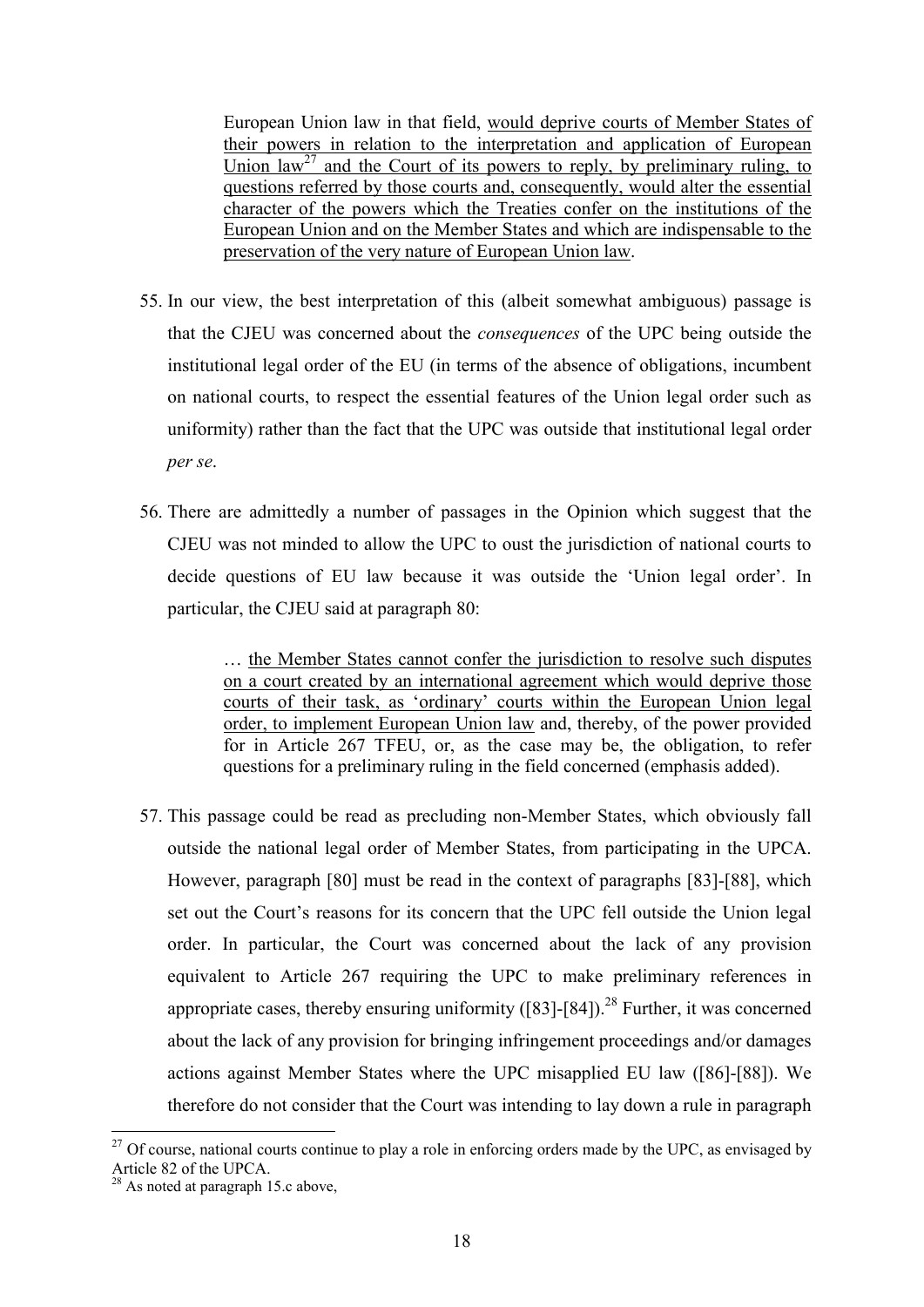European Union law in that field, would deprive courts of Member States of their powers in relation to the interpretation and application of European Union  $law<sup>27</sup>$  and the Court of its powers to reply, by preliminary ruling, to questions referred by those courts and, consequently, would alter the essential character of the powers which the Treaties confer on the institutions of the European Union and on the Member States and which are indispensable to the preservation of the very nature of European Union law.

- 55. In our view, the best interpretation of this (albeit somewhat ambiguous) passage is that the CJEU was concerned about the *consequences* of the UPC being outside the institutional legal order of the EU (in terms of the absence of obligations, incumbent on national courts, to respect the essential features of the Union legal order such as uniformity) rather than the fact that the UPC was outside that institutional legal order *per se*.
- 56. There are admittedly a number of passages in the Opinion which suggest that the CJEU was not minded to allow the UPC to oust the jurisdiction of national courts to decide questions of EU law because it was outside the 'Union legal order'. In particular, the CJEU said at paragraph 80:

… the Member States cannot confer the jurisdiction to resolve such disputes on a court created by an international agreement which would deprive those courts of their task, as 'ordinary' courts within the European Union legal order, to implement European Union law and, thereby, of the power provided for in Article 267 TFEU, or, as the case may be, the obligation, to refer questions for a preliminary ruling in the field concerned (emphasis added).

57. This passage could be read as precluding non-Member States, which obviously fall outside the national legal order of Member States, from participating in the UPCA. However, paragraph [80] must be read in the context of paragraphs [83]-[88], which set out the Court's reasons for its concern that the UPC fell outside the Union legal order. In particular, the Court was concerned about the lack of any provision equivalent to Article 267 requiring the UPC to make preliminary references in appropriate cases, thereby ensuring uniformity  $([83]$ - $[84]$ ).<sup>28</sup> Further, it was concerned about the lack of any provision for bringing infringement proceedings and/or damages actions against Member States where the UPC misapplied EU law ([86]-[88]). We therefore do not consider that the Court was intending to lay down a rule in paragraph

 $27$  Of course, national courts continue to play a role in enforcing orders made by the UPC, as envisaged by Article 82 of the UPCA.

 $^{28}$  As noted at paragraph 15.c above,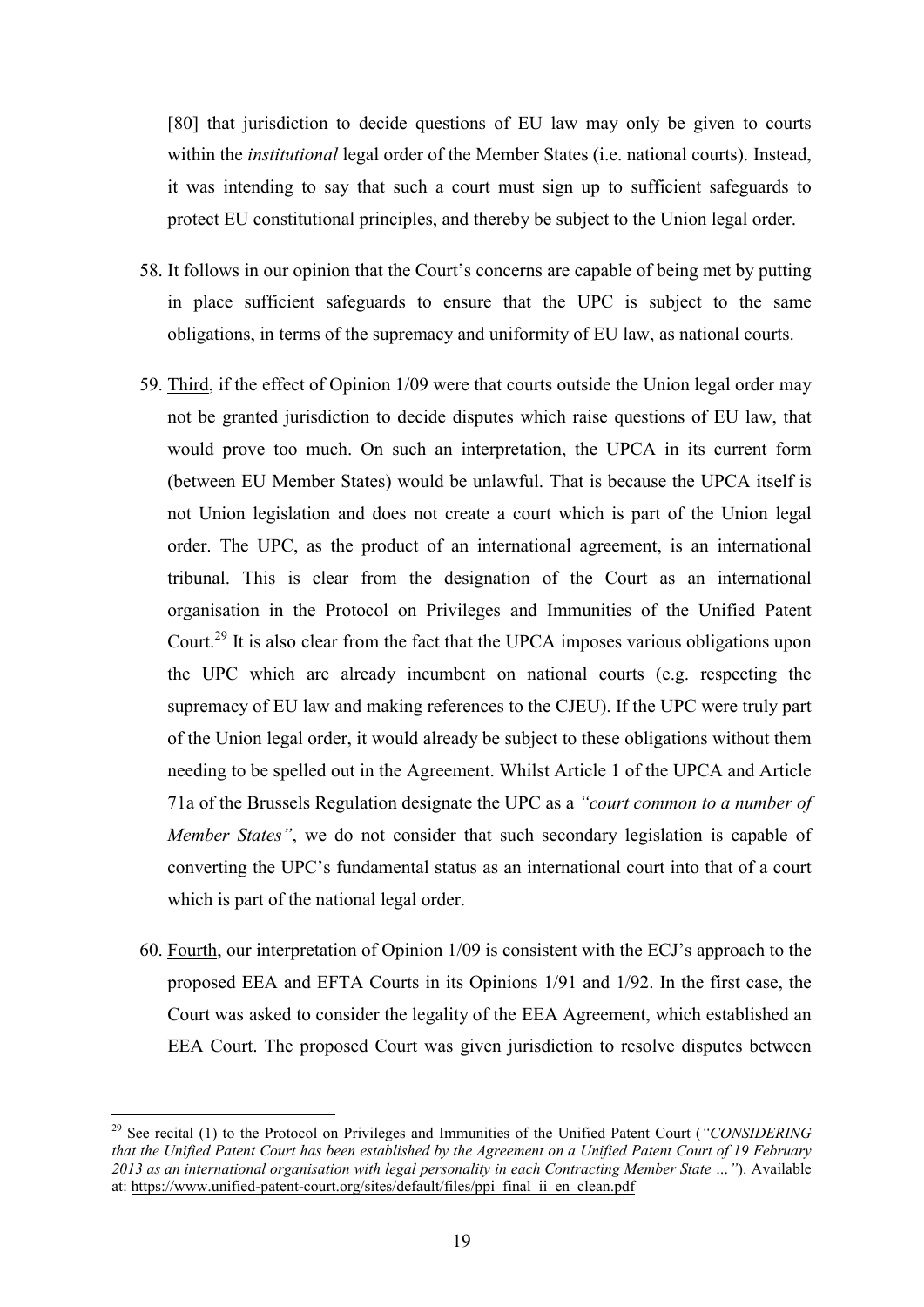[80] that jurisdiction to decide questions of EU law may only be given to courts within the *institutional* legal order of the Member States (i.e. national courts). Instead, it was intending to say that such a court must sign up to sufficient safeguards to protect EU constitutional principles, and thereby be subject to the Union legal order.

- 58. It follows in our opinion that the Court's concerns are capable of being met by putting in place sufficient safeguards to ensure that the UPC is subject to the same obligations, in terms of the supremacy and uniformity of EU law, as national courts.
- 59. Third, if the effect of Opinion 1/09 were that courts outside the Union legal order may not be granted jurisdiction to decide disputes which raise questions of EU law, that would prove too much. On such an interpretation, the UPCA in its current form (between EU Member States) would be unlawful. That is because the UPCA itself is not Union legislation and does not create a court which is part of the Union legal order. The UPC, as the product of an international agreement, is an international tribunal. This is clear from the designation of the Court as an international organisation in the Protocol on Privileges and Immunities of the Unified Patent Court.<sup>29</sup> It is also clear from the fact that the UPCA imposes various obligations upon the UPC which are already incumbent on national courts (e.g. respecting the supremacy of EU law and making references to the CJEU). If the UPC were truly part of the Union legal order, it would already be subject to these obligations without them needing to be spelled out in the Agreement. Whilst Article 1 of the UPCA and Article 71a of the Brussels Regulation designate the UPC as a *"court common to a number of Member States"*, we do not consider that such secondary legislation is capable of converting the UPC's fundamental status as an international court into that of a court which is part of the national legal order.
- 60. Fourth, our interpretation of Opinion 1/09 is consistent with the ECJ's approach to the proposed EEA and EFTA Courts in its Opinions 1/91 and 1/92. In the first case, the Court was asked to consider the legality of the EEA Agreement, which established an EEA Court. The proposed Court was given jurisdiction to resolve disputes between

<sup>29</sup> See recital (1) to the Protocol on Privileges and Immunities of the Unified Patent Court (*"CONSIDERING that the Unified Patent Court has been established by the Agreement on a Unified Patent Court of 19 February 2013 as an international organisation with legal personality in each Contracting Member State …"*). Available at: https://www.unified-patent-court.org/sites/default/files/ppi\_final\_ii\_en\_clean.pdf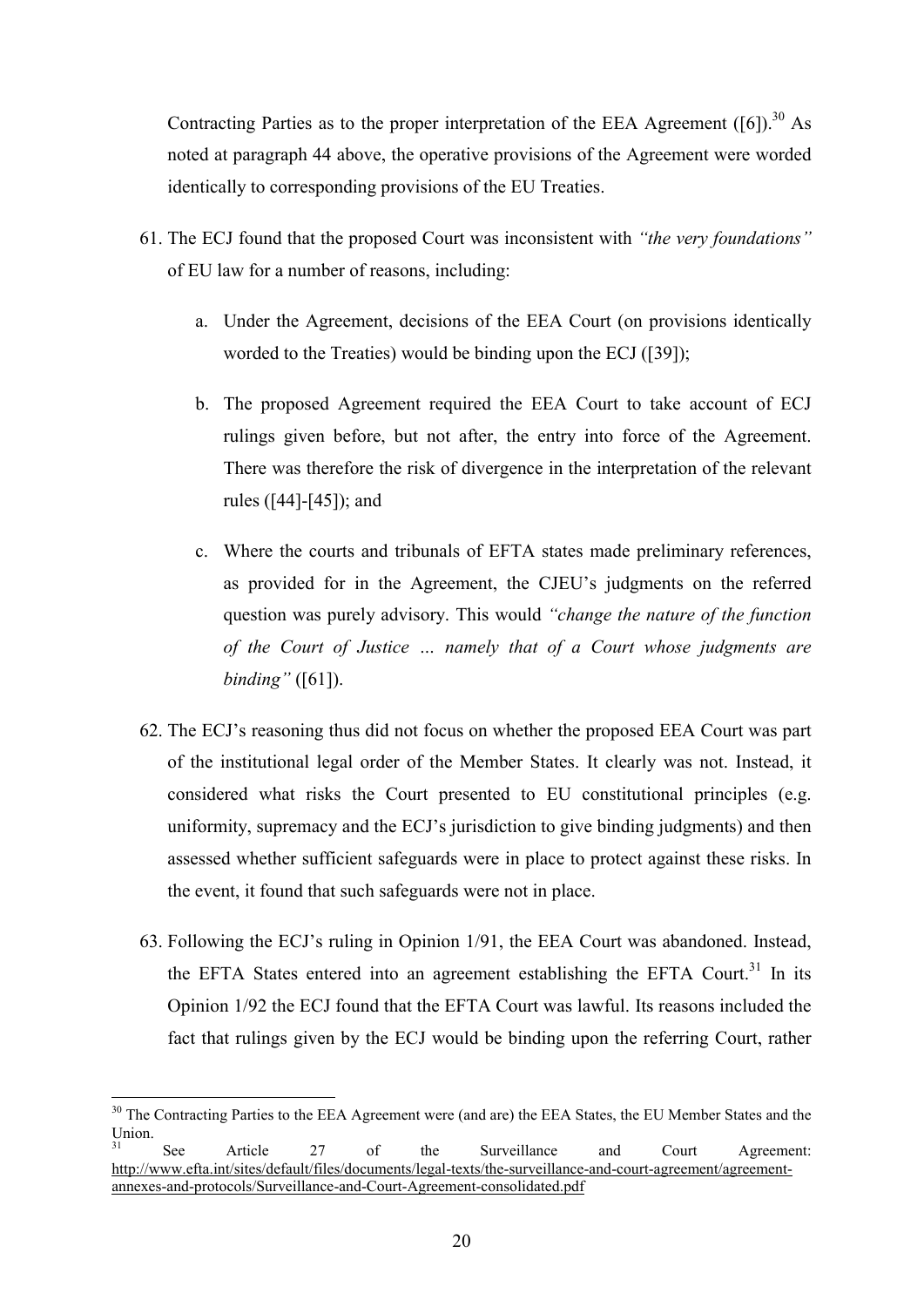Contracting Parties as to the proper interpretation of the EEA Agreement  $([6])$ .<sup>30</sup> As noted at paragraph 44 above, the operative provisions of the Agreement were worded identically to corresponding provisions of the EU Treaties.

- 61. The ECJ found that the proposed Court was inconsistent with *"the very foundations"* of EU law for a number of reasons, including:
	- a. Under the Agreement, decisions of the EEA Court (on provisions identically worded to the Treaties) would be binding upon the ECJ ([39]);
	- b. The proposed Agreement required the EEA Court to take account of ECJ rulings given before, but not after, the entry into force of the Agreement. There was therefore the risk of divergence in the interpretation of the relevant rules ([44]-[45]); and
	- c. Where the courts and tribunals of EFTA states made preliminary references, as provided for in the Agreement, the CJEU's judgments on the referred question was purely advisory. This would *"change the nature of the function of the Court of Justice … namely that of a Court whose judgments are binding"* ([61]).
- 62. The ECJ's reasoning thus did not focus on whether the proposed EEA Court was part of the institutional legal order of the Member States. It clearly was not. Instead, it considered what risks the Court presented to EU constitutional principles (e.g. uniformity, supremacy and the ECJ's jurisdiction to give binding judgments) and then assessed whether sufficient safeguards were in place to protect against these risks. In the event, it found that such safeguards were not in place.
- 63. Following the ECJ's ruling in Opinion 1/91, the EEA Court was abandoned. Instead, the EFTA States entered into an agreement establishing the EFTA Court.<sup>31</sup> In its Opinion 1/92 the ECJ found that the EFTA Court was lawful. Its reasons included the fact that rulings given by the ECJ would be binding upon the referring Court, rather

<sup>&</sup>lt;sup>30</sup> The Contracting Parties to the EEA Agreement were (and are) the EEA States, the EU Member States and the Union.

<sup>&</sup>lt;sup>31</sup> See Article 27 of the Surveillance and Court Agreement: http://www.efta.int/sites/default/files/documents/legal-texts/the-surveillance-and-court-agreement/agreementannexes-and-protocols/Surveillance-and-Court-Agreement-consolidated.pdf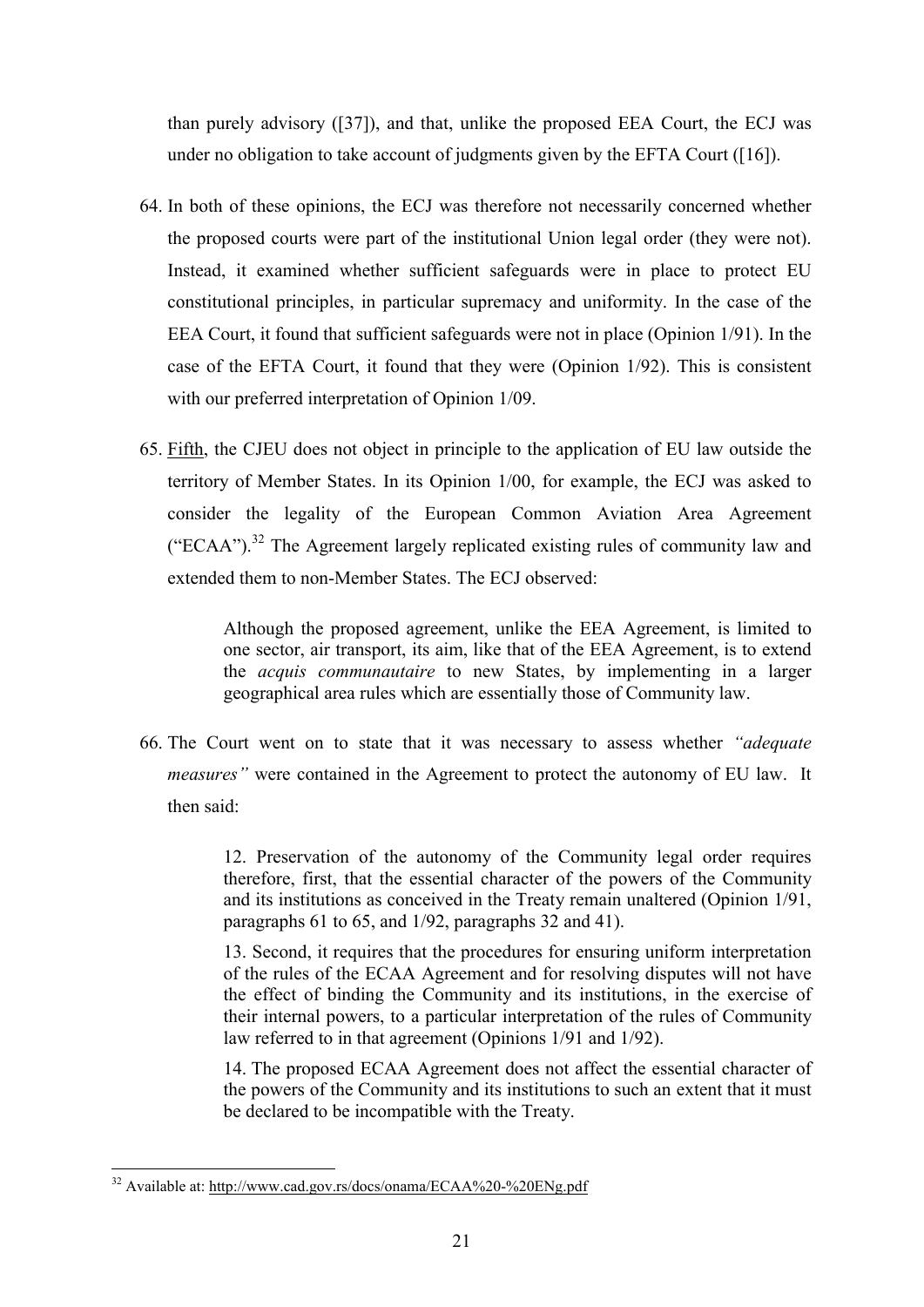than purely advisory ([37]), and that, unlike the proposed EEA Court, the ECJ was under no obligation to take account of judgments given by the EFTA Court ([16]).

- 64. In both of these opinions, the ECJ was therefore not necessarily concerned whether the proposed courts were part of the institutional Union legal order (they were not). Instead, it examined whether sufficient safeguards were in place to protect EU constitutional principles, in particular supremacy and uniformity. In the case of the EEA Court, it found that sufficient safeguards were not in place (Opinion 1/91). In the case of the EFTA Court, it found that they were (Opinion 1/92). This is consistent with our preferred interpretation of Opinion 1/09.
- 65. Fifth, the CJEU does not object in principle to the application of EU law outside the territory of Member States. In its Opinion 1/00, for example, the ECJ was asked to consider the legality of the European Common Aviation Area Agreement ("ECAA").<sup>32</sup> The Agreement largely replicated existing rules of community law and extended them to non-Member States. The ECJ observed:

Although the proposed agreement, unlike the EEA Agreement, is limited to one sector, air transport, its aim, like that of the EEA Agreement, is to extend the *acquis communautaire* to new States, by implementing in a larger geographical area rules which are essentially those of Community law.

66. The Court went on to state that it was necessary to assess whether *"adequate measures"* were contained in the Agreement to protect the autonomy of EU law. It then said:

> 12. Preservation of the autonomy of the Community legal order requires therefore, first, that the essential character of the powers of the Community and its institutions as conceived in the Treaty remain unaltered (Opinion 1/91, paragraphs 61 to 65, and 1/92, paragraphs 32 and 41).

> 13. Second, it requires that the procedures for ensuring uniform interpretation of the rules of the ECAA Agreement and for resolving disputes will not have the effect of binding the Community and its institutions, in the exercise of their internal powers, to a particular interpretation of the rules of Community law referred to in that agreement (Opinions 1/91 and 1/92).

> 14. The proposed ECAA Agreement does not affect the essential character of the powers of the Community and its institutions to such an extent that it must be declared to be incompatible with the Treaty.

<sup>1</sup> <sup>32</sup> Available at: http://www.cad.gov.rs/docs/onama/ECAA%20-%20ENg.pdf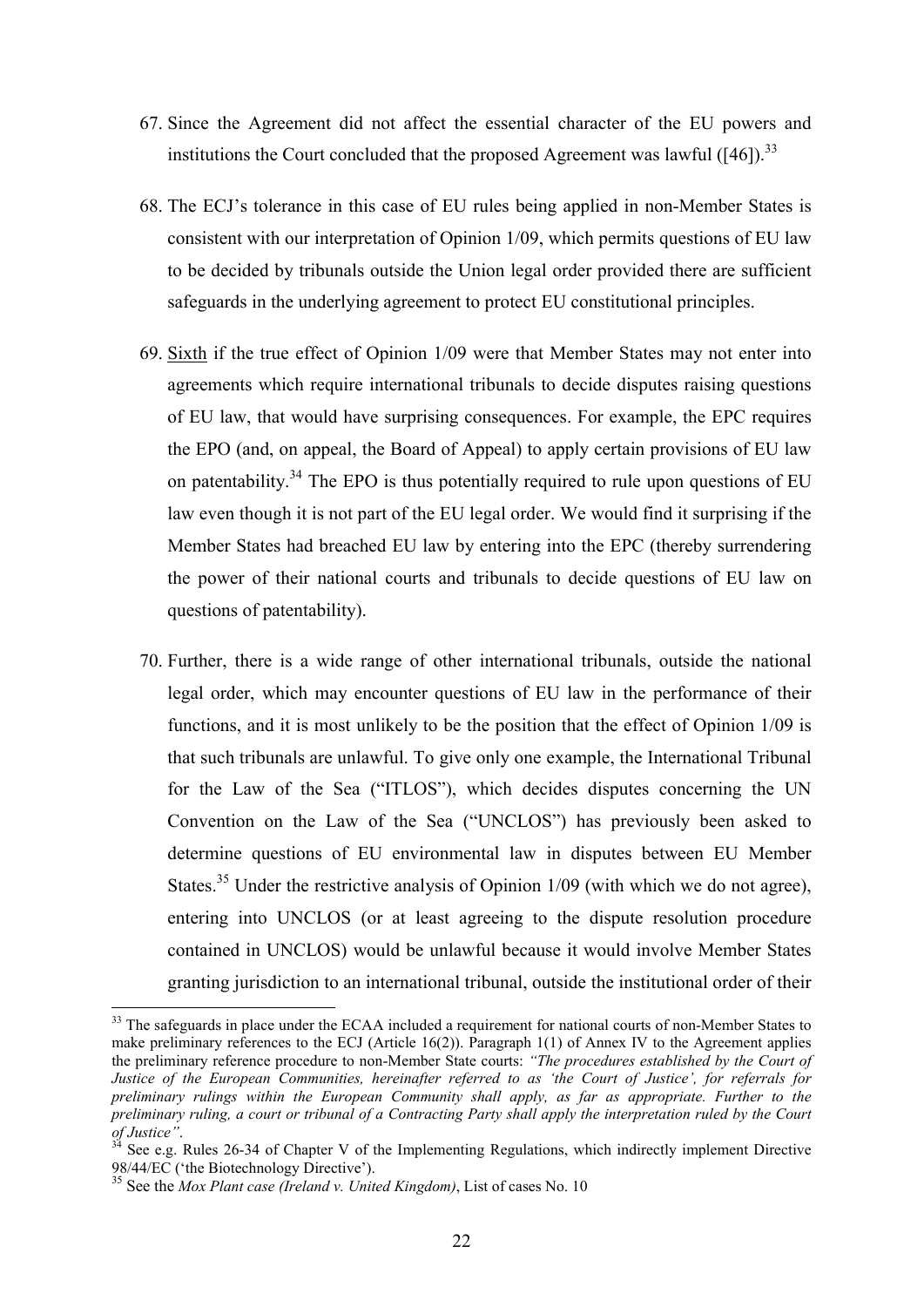- 67. Since the Agreement did not affect the essential character of the EU powers and institutions the Court concluded that the proposed Agreement was lawful  $(146)$ .<sup>33</sup>
- 68. The ECJ's tolerance in this case of EU rules being applied in non-Member States is consistent with our interpretation of Opinion 1/09, which permits questions of EU law to be decided by tribunals outside the Union legal order provided there are sufficient safeguards in the underlying agreement to protect EU constitutional principles.
- 69. Sixth if the true effect of Opinion 1/09 were that Member States may not enter into agreements which require international tribunals to decide disputes raising questions of EU law, that would have surprising consequences. For example, the EPC requires the EPO (and, on appeal, the Board of Appeal) to apply certain provisions of EU law on patentability.<sup>34</sup> The EPO is thus potentially required to rule upon questions of EU law even though it is not part of the EU legal order. We would find it surprising if the Member States had breached EU law by entering into the EPC (thereby surrendering the power of their national courts and tribunals to decide questions of EU law on questions of patentability).
- 70. Further, there is a wide range of other international tribunals, outside the national legal order, which may encounter questions of EU law in the performance of their functions, and it is most unlikely to be the position that the effect of Opinion 1/09 is that such tribunals are unlawful. To give only one example, the International Tribunal for the Law of the Sea ("ITLOS"), which decides disputes concerning the UN Convention on the Law of the Sea ("UNCLOS") has previously been asked to determine questions of EU environmental law in disputes between EU Member States.<sup>35</sup> Under the restrictive analysis of Opinion  $1/09$  (with which we do not agree), entering into UNCLOS (or at least agreeing to the dispute resolution procedure contained in UNCLOS) would be unlawful because it would involve Member States granting jurisdiction to an international tribunal, outside the institutional order of their

<sup>&</sup>lt;sup>33</sup> The safeguards in place under the ECAA included a requirement for national courts of non-Member States to make preliminary references to the ECJ (Article 16(2)). Paragraph 1(1) of Annex IV to the Agreement applies the preliminary reference procedure to non-Member State courts: *"The procedures established by the Court of Justice of the European Communities, hereinafter referred to as 'the Court of Justice', for referrals for preliminary rulings within the European Community shall apply, as far as appropriate. Further to the preliminary ruling, a court or tribunal of a Contracting Party shall apply the interpretation ruled by the Court of Justice"*.

See e.g. Rules 26-34 of Chapter V of the Implementing Regulations, which indirectly implement Directive 98/44/EC ('the Biotechnology Directive').

<sup>35</sup> See the *Mox Plant case (Ireland v. United Kingdom)*, List of cases No. 10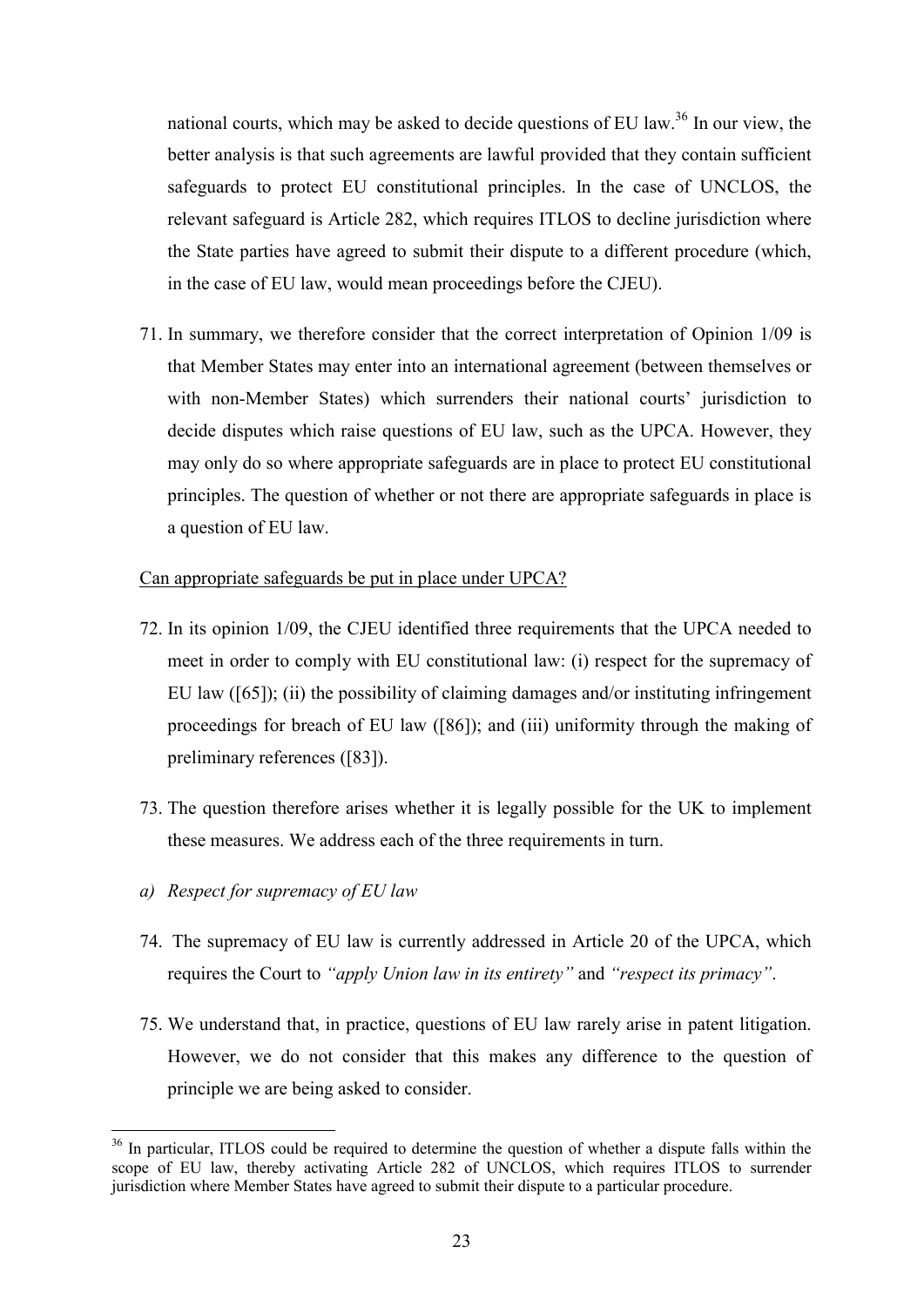national courts, which may be asked to decide questions of EU law.<sup>36</sup> In our view, the better analysis is that such agreements are lawful provided that they contain sufficient safeguards to protect EU constitutional principles. In the case of UNCLOS, the relevant safeguard is Article 282, which requires ITLOS to decline jurisdiction where the State parties have agreed to submit their dispute to a different procedure (which, in the case of EU law, would mean proceedings before the CJEU).

71. In summary, we therefore consider that the correct interpretation of Opinion 1/09 is that Member States may enter into an international agreement (between themselves or with non-Member States) which surrenders their national courts' jurisdiction to decide disputes which raise questions of EU law, such as the UPCA. However, they may only do so where appropriate safeguards are in place to protect EU constitutional principles. The question of whether or not there are appropriate safeguards in place is a question of EU law.

## Can appropriate safeguards be put in place under UPCA?

- 72. In its opinion 1/09, the CJEU identified three requirements that the UPCA needed to meet in order to comply with EU constitutional law: (i) respect for the supremacy of EU law ([65]); (ii) the possibility of claiming damages and/or instituting infringement proceedings for breach of EU law ([86]); and (iii) uniformity through the making of preliminary references ([83]).
- 73. The question therefore arises whether it is legally possible for the UK to implement these measures. We address each of the three requirements in turn.
- *a) Respect for supremacy of EU law*

- 74. The supremacy of EU law is currently addressed in Article 20 of the UPCA, which requires the Court to *"apply Union law in its entirety"* and *"respect its primacy"*.
- 75. We understand that, in practice, questions of EU law rarely arise in patent litigation. However, we do not consider that this makes any difference to the question of principle we are being asked to consider.

<sup>&</sup>lt;sup>36</sup> In particular, ITLOS could be required to determine the question of whether a dispute falls within the scope of EU law, thereby activating Article 282 of UNCLOS, which requires ITLOS to surrender jurisdiction where Member States have agreed to submit their dispute to a particular procedure.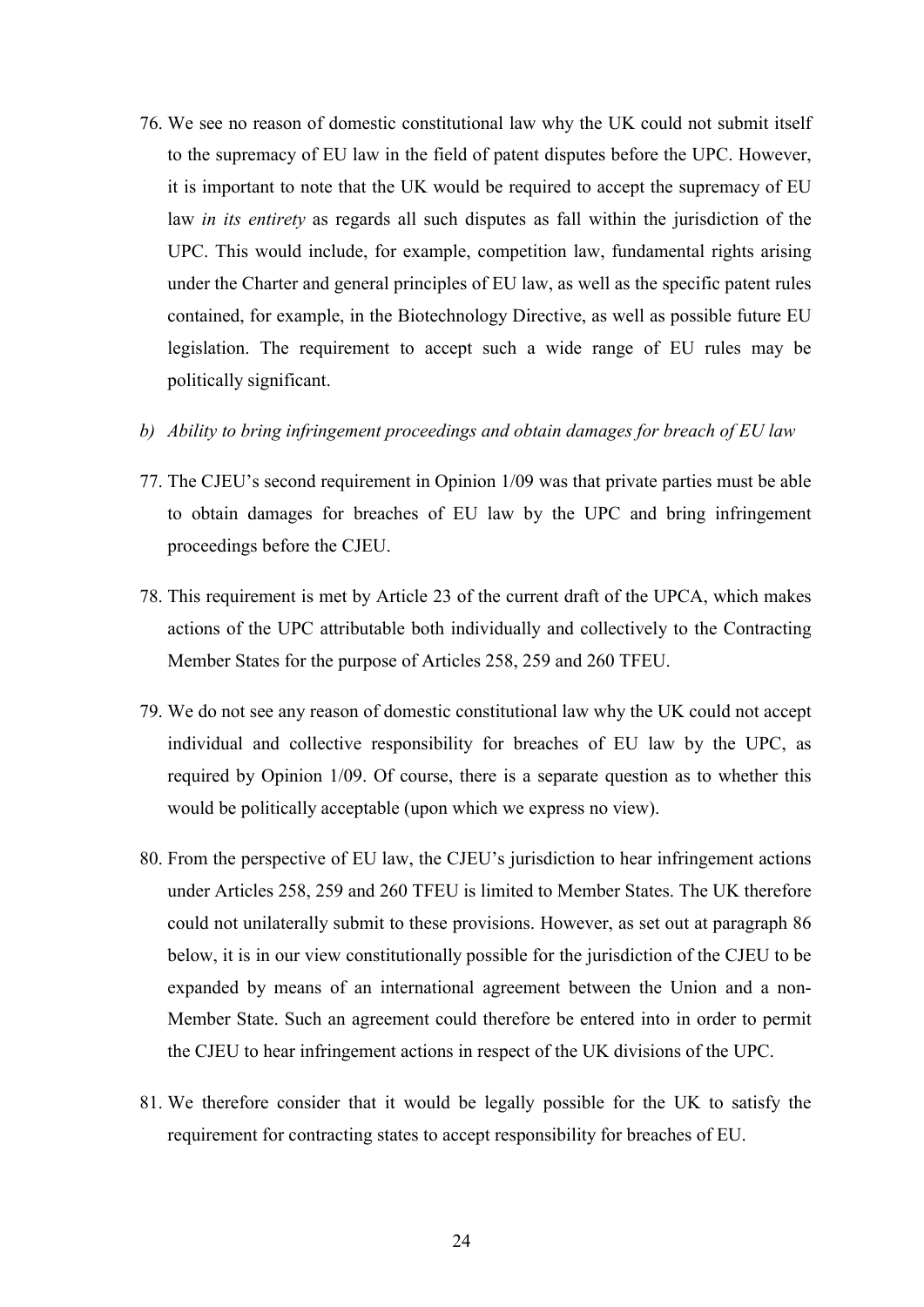- 76. We see no reason of domestic constitutional law why the UK could not submit itself to the supremacy of EU law in the field of patent disputes before the UPC. However, it is important to note that the UK would be required to accept the supremacy of EU law *in its entirety* as regards all such disputes as fall within the jurisdiction of the UPC. This would include, for example, competition law, fundamental rights arising under the Charter and general principles of EU law, as well as the specific patent rules contained, for example, in the Biotechnology Directive, as well as possible future EU legislation. The requirement to accept such a wide range of EU rules may be politically significant.
- *b) Ability to bring infringement proceedings and obtain damages for breach of EU law*
- 77. The CJEU's second requirement in Opinion 1/09 was that private parties must be able to obtain damages for breaches of EU law by the UPC and bring infringement proceedings before the CJEU.
- 78. This requirement is met by Article 23 of the current draft of the UPCA, which makes actions of the UPC attributable both individually and collectively to the Contracting Member States for the purpose of Articles 258, 259 and 260 TFEU.
- 79. We do not see any reason of domestic constitutional law why the UK could not accept individual and collective responsibility for breaches of EU law by the UPC, as required by Opinion 1/09. Of course, there is a separate question as to whether this would be politically acceptable (upon which we express no view).
- 80. From the perspective of EU law, the CJEU's jurisdiction to hear infringement actions under Articles 258, 259 and 260 TFEU is limited to Member States. The UK therefore could not unilaterally submit to these provisions. However, as set out at paragraph 86 below, it is in our view constitutionally possible for the jurisdiction of the CJEU to be expanded by means of an international agreement between the Union and a non-Member State. Such an agreement could therefore be entered into in order to permit the CJEU to hear infringement actions in respect of the UK divisions of the UPC.
- 81. We therefore consider that it would be legally possible for the UK to satisfy the requirement for contracting states to accept responsibility for breaches of EU.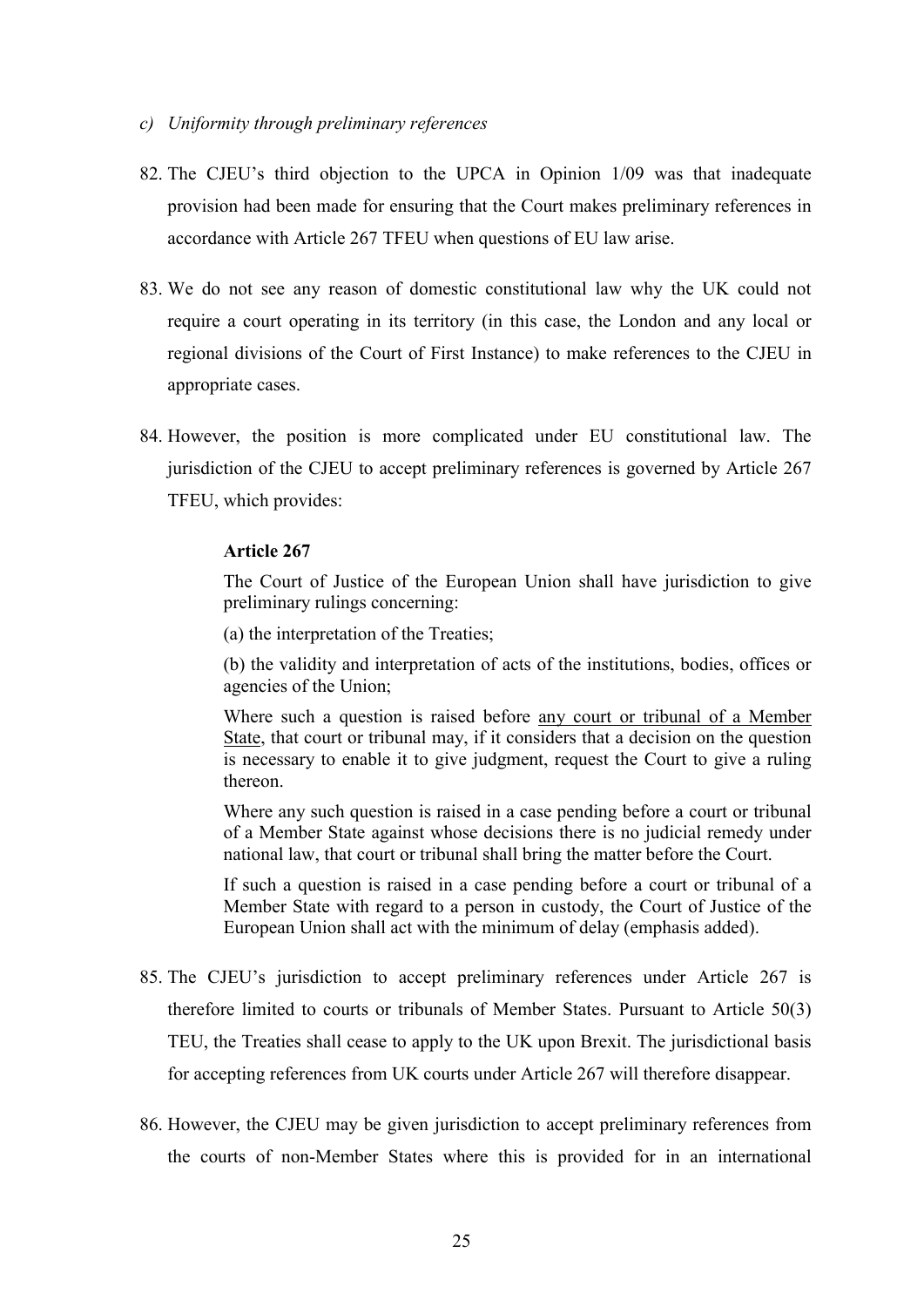- *c) Uniformity through preliminary references*
- 82. The CJEU's third objection to the UPCA in Opinion 1/09 was that inadequate provision had been made for ensuring that the Court makes preliminary references in accordance with Article 267 TFEU when questions of EU law arise.
- 83. We do not see any reason of domestic constitutional law why the UK could not require a court operating in its territory (in this case, the London and any local or regional divisions of the Court of First Instance) to make references to the CJEU in appropriate cases.
- 84. However, the position is more complicated under EU constitutional law. The jurisdiction of the CJEU to accept preliminary references is governed by Article 267 TFEU, which provides:

## **Article 267**

The Court of Justice of the European Union shall have jurisdiction to give preliminary rulings concerning:

(a) the interpretation of the Treaties;

(b) the validity and interpretation of acts of the institutions, bodies, offices or agencies of the Union;

Where such a question is raised before any court or tribunal of a Member State, that court or tribunal may, if it considers that a decision on the question is necessary to enable it to give judgment, request the Court to give a ruling thereon.

Where any such question is raised in a case pending before a court or tribunal of a Member State against whose decisions there is no judicial remedy under national law, that court or tribunal shall bring the matter before the Court.

If such a question is raised in a case pending before a court or tribunal of a Member State with regard to a person in custody, the Court of Justice of the European Union shall act with the minimum of delay (emphasis added).

- 85. The CJEU's jurisdiction to accept preliminary references under Article 267 is therefore limited to courts or tribunals of Member States. Pursuant to Article 50(3) TEU, the Treaties shall cease to apply to the UK upon Brexit. The jurisdictional basis for accepting references from UK courts under Article 267 will therefore disappear.
- 86. However, the CJEU may be given jurisdiction to accept preliminary references from the courts of non-Member States where this is provided for in an international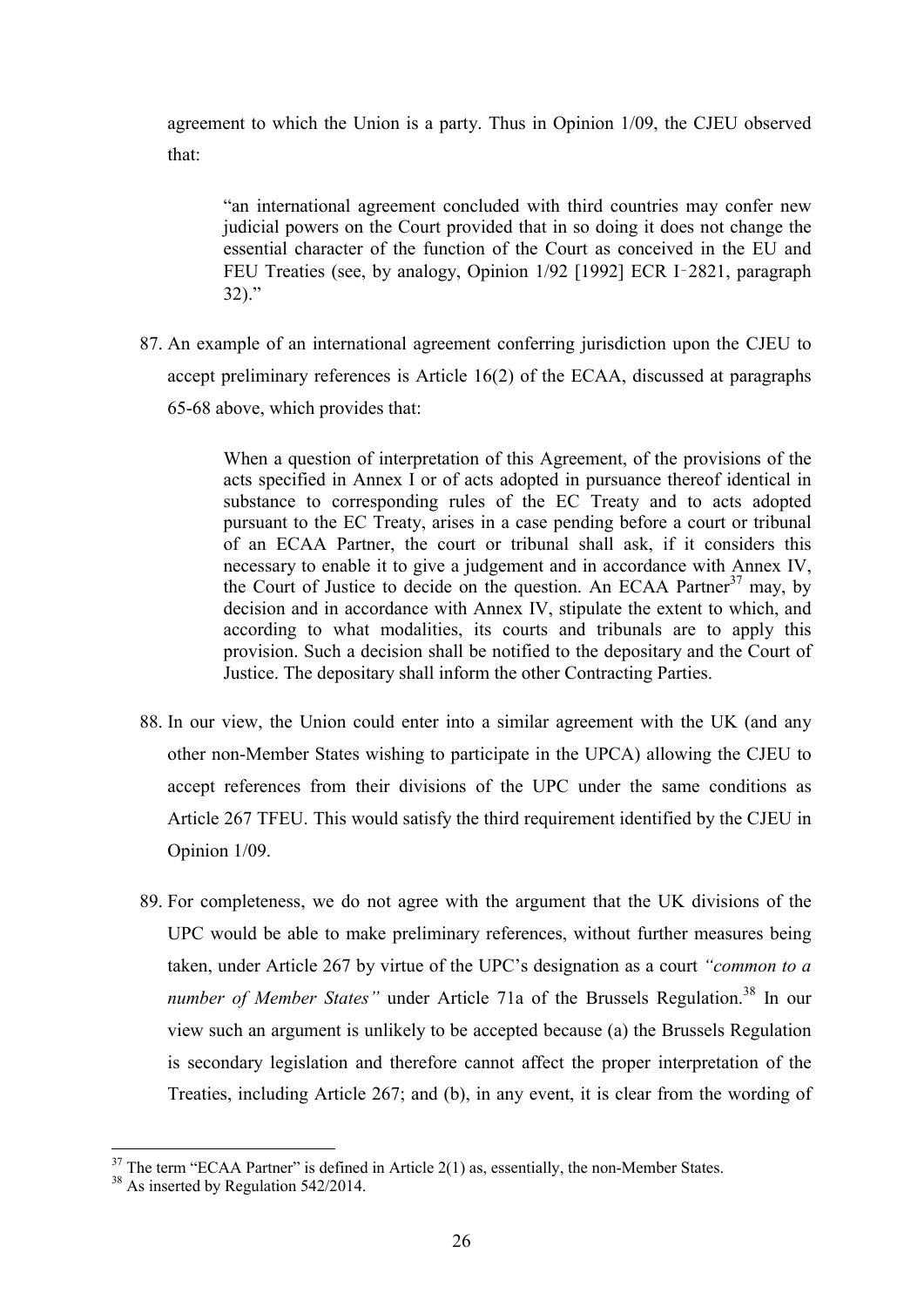agreement to which the Union is a party. Thus in Opinion 1/09, the CJEU observed that:

"an international agreement concluded with third countries may confer new judicial powers on the Court provided that in so doing it does not change the essential character of the function of the Court as conceived in the EU and FEU Treaties (see, by analogy, Opinion 1/92 [1992] ECR I-2821, paragraph 32)."

87. An example of an international agreement conferring jurisdiction upon the CJEU to accept preliminary references is Article 16(2) of the ECAA, discussed at paragraphs 65-68 above, which provides that:

> When a question of interpretation of this Agreement, of the provisions of the acts specified in Annex I or of acts adopted in pursuance thereof identical in substance to corresponding rules of the EC Treaty and to acts adopted pursuant to the EC Treaty, arises in a case pending before a court or tribunal of an ECAA Partner, the court or tribunal shall ask, if it considers this necessary to enable it to give a judgement and in accordance with Annex IV, the Court of Justice to decide on the question. An ECAA Partner<sup>37</sup> may, by decision and in accordance with Annex IV, stipulate the extent to which, and according to what modalities, its courts and tribunals are to apply this provision. Such a decision shall be notified to the depositary and the Court of Justice. The depositary shall inform the other Contracting Parties.

- 88. In our view, the Union could enter into a similar agreement with the UK (and any other non-Member States wishing to participate in the UPCA) allowing the CJEU to accept references from their divisions of the UPC under the same conditions as Article 267 TFEU. This would satisfy the third requirement identified by the CJEU in Opinion 1/09.
- 89. For completeness, we do not agree with the argument that the UK divisions of the UPC would be able to make preliminary references, without further measures being taken, under Article 267 by virtue of the UPC's designation as a court *"common to a number of Member States"* under Article 71a of the Brussels Regulation. <sup>38</sup> In our view such an argument is unlikely to be accepted because (a) the Brussels Regulation is secondary legislation and therefore cannot affect the proper interpretation of the Treaties, including Article 267; and (b), in any event, it is clear from the wording of

 $37$  The term "ECAA Partner" is defined in Article 2(1) as, essentially, the non-Member States.

<sup>&</sup>lt;sup>38</sup> As inserted by Regulation 542/2014.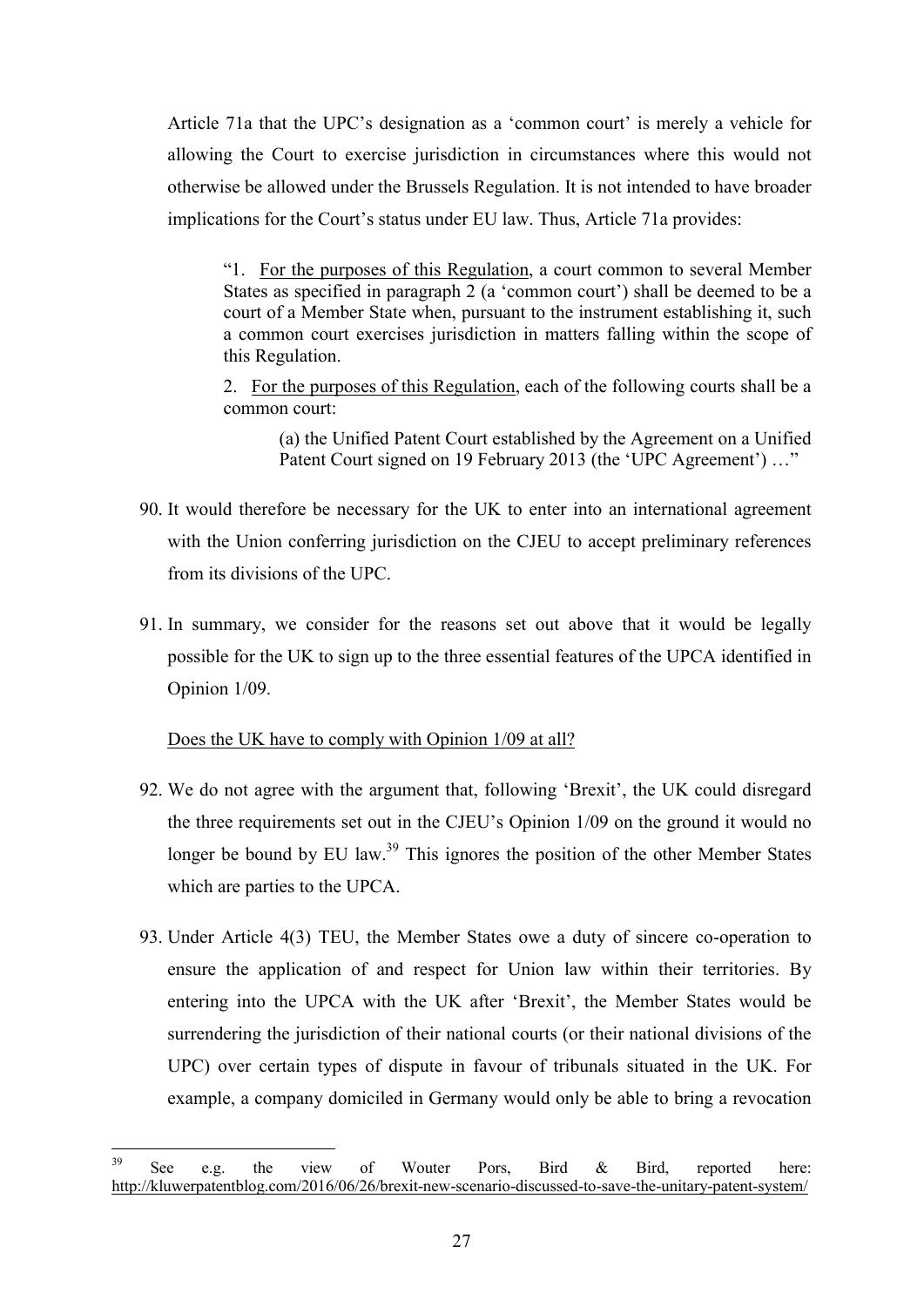Article 71a that the UPC's designation as a 'common court' is merely a vehicle for allowing the Court to exercise jurisdiction in circumstances where this would not otherwise be allowed under the Brussels Regulation. It is not intended to have broader implications for the Court's status under EU law. Thus, Article 71a provides:

"1. For the purposes of this Regulation, a court common to several Member States as specified in paragraph 2 (a 'common court') shall be deemed to be a court of a Member State when, pursuant to the instrument establishing it, such a common court exercises jurisdiction in matters falling within the scope of this Regulation.

2. For the purposes of this Regulation, each of the following courts shall be a common court:

(a) the Unified Patent Court established by the Agreement on a Unified Patent Court signed on 19 February 2013 (the 'UPC Agreement') ..."

- 90. It would therefore be necessary for the UK to enter into an international agreement with the Union conferring jurisdiction on the CJEU to accept preliminary references from its divisions of the UPC.
- 91. In summary, we consider for the reasons set out above that it would be legally possible for the UK to sign up to the three essential features of the UPCA identified in Opinion 1/09.

Does the UK have to comply with Opinion 1/09 at all?

- 92. We do not agree with the argument that, following 'Brexit', the UK could disregard the three requirements set out in the CJEU's Opinion 1/09 on the ground it would no longer be bound by EU law.<sup>39</sup> This ignores the position of the other Member States which are parties to the UPCA.
- 93. Under Article 4(3) TEU, the Member States owe a duty of sincere co-operation to ensure the application of and respect for Union law within their territories. By entering into the UPCA with the UK after 'Brexit', the Member States would be surrendering the jurisdiction of their national courts (or their national divisions of the UPC) over certain types of dispute in favour of tribunals situated in the UK. For example, a company domiciled in Germany would only be able to bring a revocation

 $39$  $39$  See e.g. the view of Wouter Pors, Bird & Bird, reported here: http://kluwerpatentblog.com/2016/06/26/brexit-new-scenario-discussed-to-save-the-unitary-patent-system/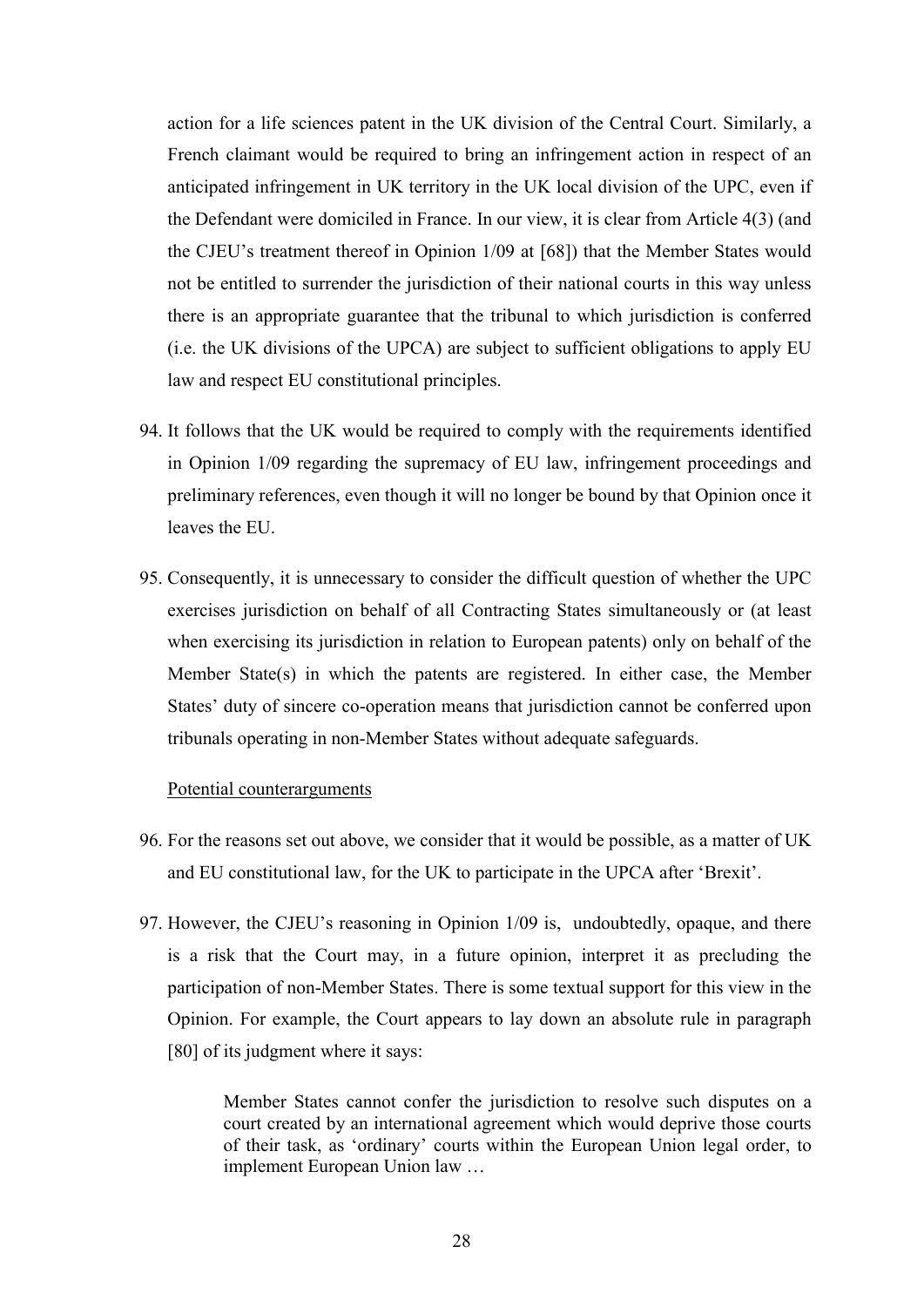action for a life sciences patent in the UK division of the Central Court. Similarly, a French claimant would be required to bring an infringement action in respect of an anticipated infringement in UK territory in the UK local division of the UPC, even if the Defendant were domiciled in France. In our view, it is clear from Article 4(3) (and the CJEU's treatment thereof in Opinion 1/09 at [68]) that the Member States would not be entitled to surrender the jurisdiction of their national courts in this way unless there is an appropriate guarantee that the tribunal to which jurisdiction is conferred (i.e. the UK divisions of the UPCA) are subject to sufficient obligations to apply EU law and respect EU constitutional principles.

- 94. It follows that the UK would be required to comply with the requirements identified in Opinion 1/09 regarding the supremacy of EU law, infringement proceedings and preliminary references, even though it will no longer be bound by that Opinion once it leaves the EU.
- 95. Consequently, it is unnecessary to consider the difficult question of whether the UPC exercises jurisdiction on behalf of all Contracting States simultaneously or (at least when exercising its jurisdiction in relation to European patents) only on behalf of the Member State(s) in which the patents are registered. In either case, the Member States' duty of sincere co-operation means that jurisdiction cannot be conferred upon tribunals operating in non-Member States without adequate safeguards.

#### Potential counterarguments

- 96. For the reasons set out above, we consider that it would be possible, as a matter of UK and EU constitutional law, for the UK to participate in the UPCA after 'Brexit'.
- 97. However, the CJEU's reasoning in Opinion 1/09 is, undoubtedly, opaque, and there is a risk that the Court may, in a future opinion, interpret it as precluding the participation of non-Member States. There is some textual support for this view in the Opinion. For example, the Court appears to lay down an absolute rule in paragraph [80] of its judgment where it says:

Member States cannot confer the jurisdiction to resolve such disputes on a court created by an international agreement which would deprive those courts of their task, as 'ordinary' courts within the European Union legal order, to implement European Union law …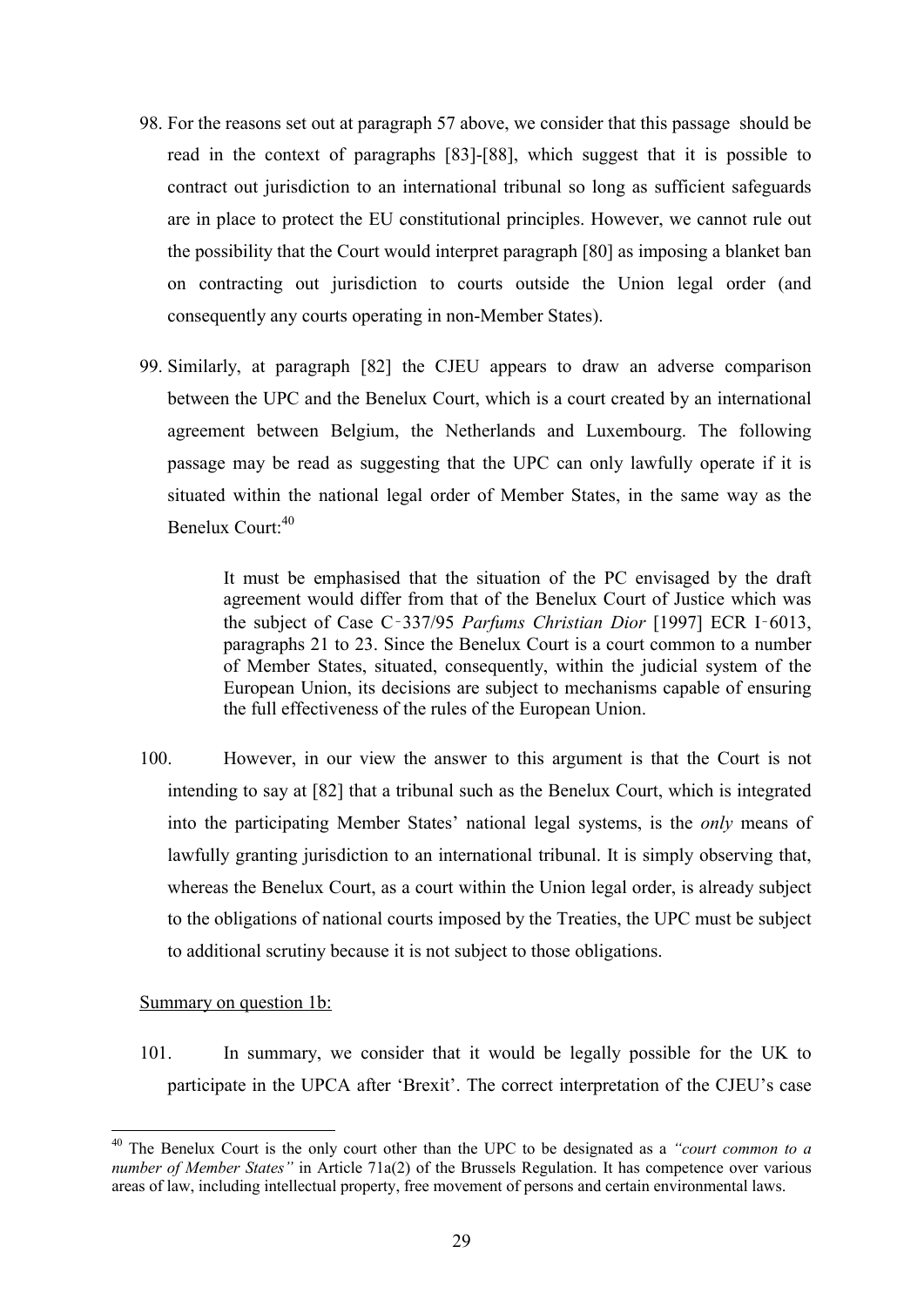- 98. For the reasons set out at paragraph 57 above, we consider that this passage should be read in the context of paragraphs [83]-[88], which suggest that it is possible to contract out jurisdiction to an international tribunal so long as sufficient safeguards are in place to protect the EU constitutional principles. However, we cannot rule out the possibility that the Court would interpret paragraph [80] as imposing a blanket ban on contracting out jurisdiction to courts outside the Union legal order (and consequently any courts operating in non-Member States).
- 99. Similarly, at paragraph [82] the CJEU appears to draw an adverse comparison between the UPC and the Benelux Court, which is a court created by an international agreement between Belgium, the Netherlands and Luxembourg. The following passage may be read as suggesting that the UPC can only lawfully operate if it is situated within the national legal order of Member States, in the same way as the Benelux Court: 40

It must be emphasised that the situation of the PC envisaged by the draft agreement would differ from that of the Benelux Court of Justice which was the subject of Case C‑337/95 *Parfums Christian Dior* [1997] ECR I‑6013, paragraphs 21 to 23. Since the Benelux Court is a court common to a number of Member States, situated, consequently, within the judicial system of the European Union, its decisions are subject to mechanisms capable of ensuring the full effectiveness of the rules of the European Union.

100. However, in our view the answer to this argument is that the Court is not intending to say at [82] that a tribunal such as the Benelux Court, which is integrated into the participating Member States' national legal systems, is the *only* means of lawfully granting jurisdiction to an international tribunal. It is simply observing that, whereas the Benelux Court, as a court within the Union legal order, is already subject to the obligations of national courts imposed by the Treaties, the UPC must be subject to additional scrutiny because it is not subject to those obligations.

## Summary on question 1b:

1

101. In summary, we consider that it would be legally possible for the UK to participate in the UPCA after 'Brexit'. The correct interpretation of the CJEU's case

<sup>40</sup> The Benelux Court is the only court other than the UPC to be designated as a *"court common to a number of Member States*" in Article 71a(2) of the Brussels Regulation. It has competence over various areas of law, including intellectual property, free movement of persons and certain environmental laws.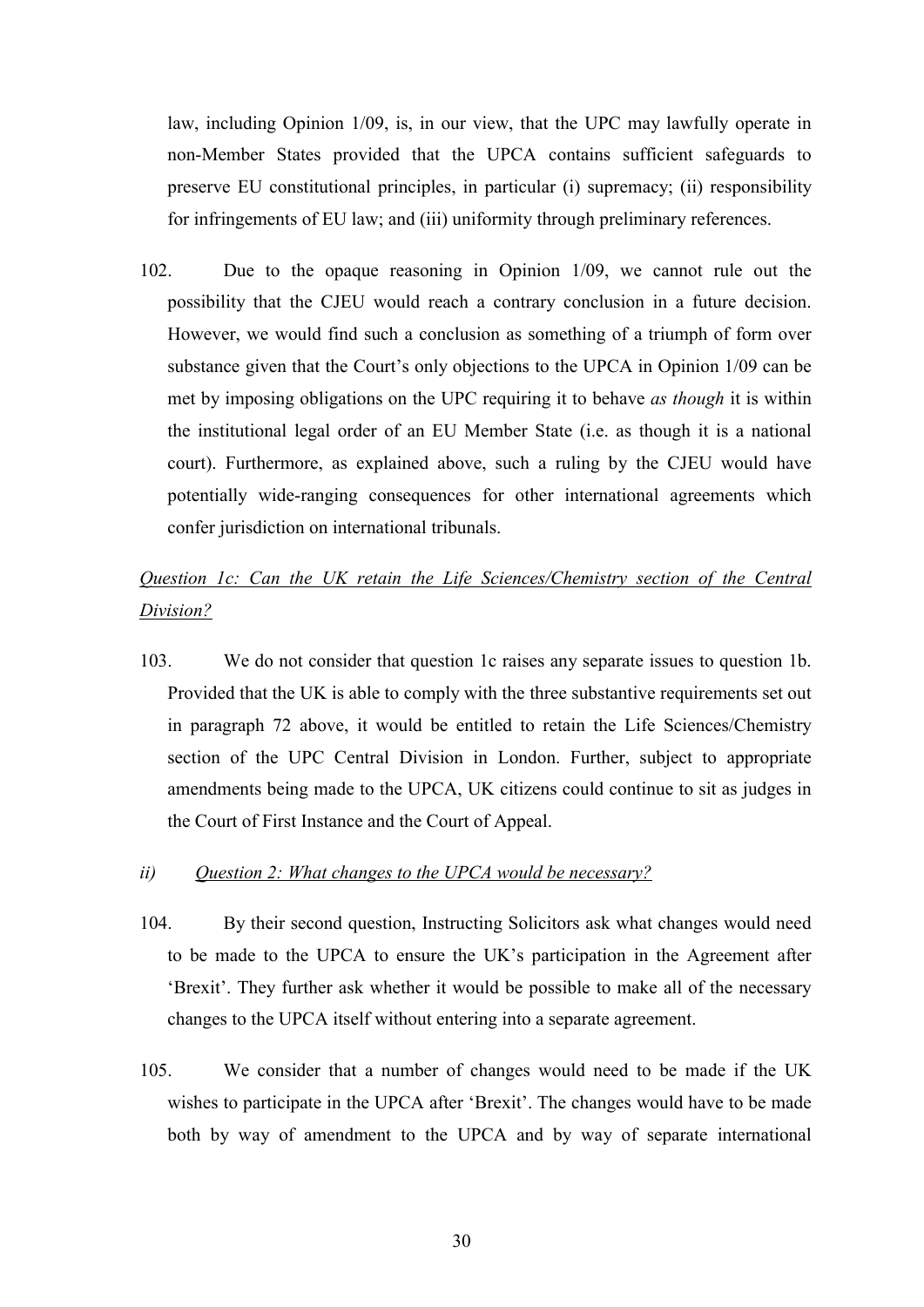law, including Opinion 1/09, is, in our view, that the UPC may lawfully operate in non-Member States provided that the UPCA contains sufficient safeguards to preserve EU constitutional principles, in particular (i) supremacy; (ii) responsibility for infringements of EU law; and (iii) uniformity through preliminary references.

102. Due to the opaque reasoning in Opinion 1/09, we cannot rule out the possibility that the CJEU would reach a contrary conclusion in a future decision. However, we would find such a conclusion as something of a triumph of form over substance given that the Court's only objections to the UPCA in Opinion 1/09 can be met by imposing obligations on the UPC requiring it to behave *as though* it is within the institutional legal order of an EU Member State (i.e. as though it is a national court). Furthermore, as explained above, such a ruling by the CJEU would have potentially wide-ranging consequences for other international agreements which confer jurisdiction on international tribunals.

# *Question 1c: Can the UK retain the Life Sciences/Chemistry section of the Central Division?*

103. We do not consider that question 1c raises any separate issues to question 1b. Provided that the UK is able to comply with the three substantive requirements set out in paragraph 72 above, it would be entitled to retain the Life Sciences/Chemistry section of the UPC Central Division in London. Further, subject to appropriate amendments being made to the UPCA, UK citizens could continue to sit as judges in the Court of First Instance and the Court of Appeal.

#### *ii) Question 2: What changes to the UPCA would be necessary?*

- 104. By their second question, Instructing Solicitors ask what changes would need to be made to the UPCA to ensure the UK's participation in the Agreement after 'Brexit'. They further ask whether it would be possible to make all of the necessary changes to the UPCA itself without entering into a separate agreement.
- 105. We consider that a number of changes would need to be made if the UK wishes to participate in the UPCA after 'Brexit'. The changes would have to be made both by way of amendment to the UPCA and by way of separate international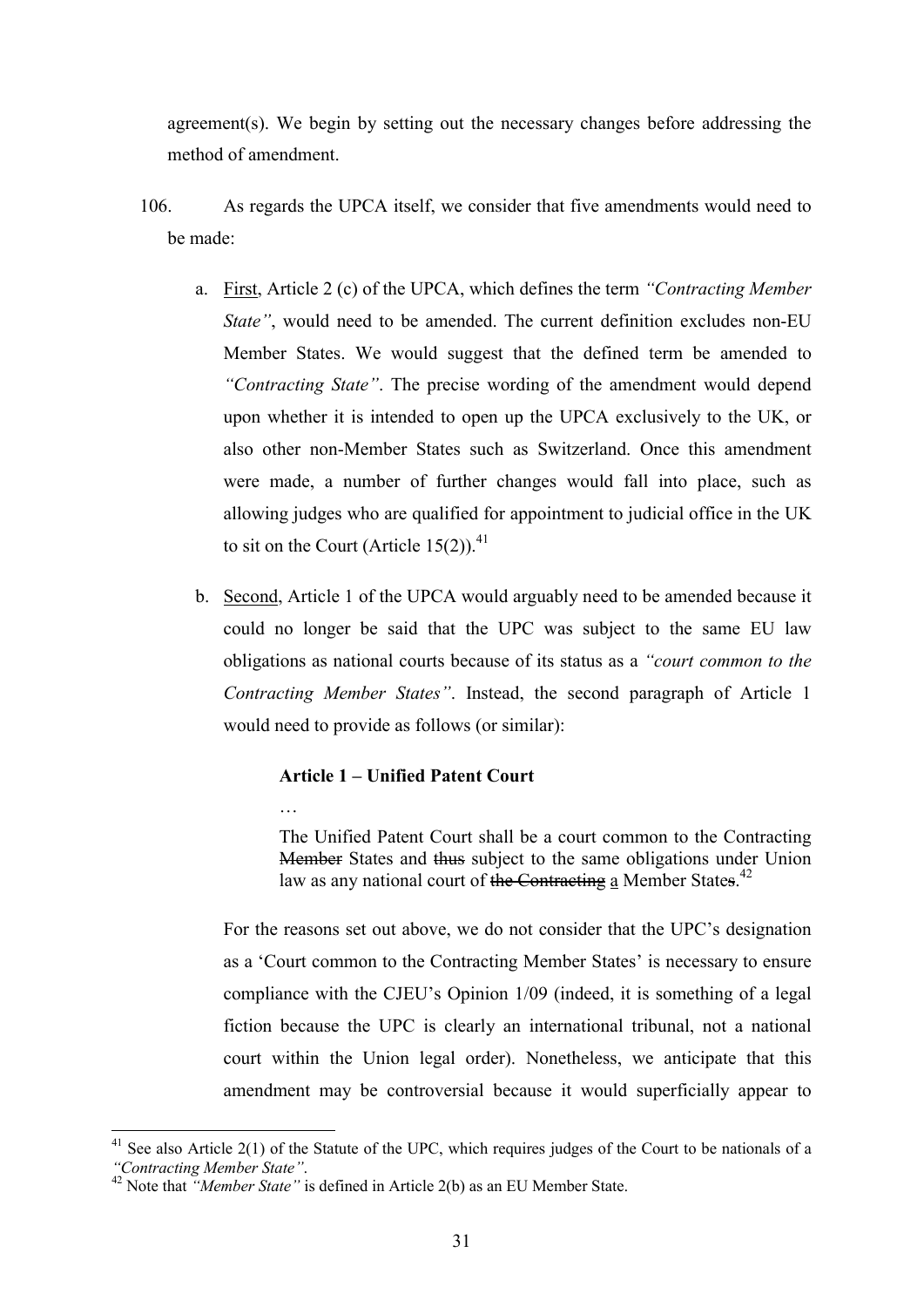agreement(s). We begin by setting out the necessary changes before addressing the method of amendment.

- 106. As regards the UPCA itself, we consider that five amendments would need to be made:
	- a. First, Article 2 (c) of the UPCA, which defines the term *"Contracting Member State"*, would need to be amended. The current definition excludes non-EU Member States. We would suggest that the defined term be amended to *"Contracting State"*. The precise wording of the amendment would depend upon whether it is intended to open up the UPCA exclusively to the UK, or also other non-Member States such as Switzerland. Once this amendment were made, a number of further changes would fall into place, such as allowing judges who are qualified for appointment to judicial office in the UK to sit on the Court (Article 15(2)).<sup>41</sup>
	- b. Second, Article 1 of the UPCA would arguably need to be amended because it could no longer be said that the UPC was subject to the same EU law obligations as national courts because of its status as a *"court common to the Contracting Member States"*. Instead, the second paragraph of Article 1 would need to provide as follows (or similar):

## **Article 1 – Unified Patent Court**

…

1

The Unified Patent Court shall be a court common to the Contracting Member States and thus subject to the same obligations under Union law as any national court of the Contracting a Member States.<sup>42</sup>

For the reasons set out above, we do not consider that the UPC's designation as a 'Court common to the Contracting Member States' is necessary to ensure compliance with the CJEU's Opinion 1/09 (indeed, it is something of a legal fiction because the UPC is clearly an international tribunal, not a national court within the Union legal order). Nonetheless, we anticipate that this amendment may be controversial because it would superficially appear to

 $41$  See also Article 2(1) of the Statute of the UPC, which requires judges of the Court to be nationals of a *"Contracting Member State"*.

<sup>42</sup> Note that *"Member State"* is defined in Article 2(b) as an EU Member State.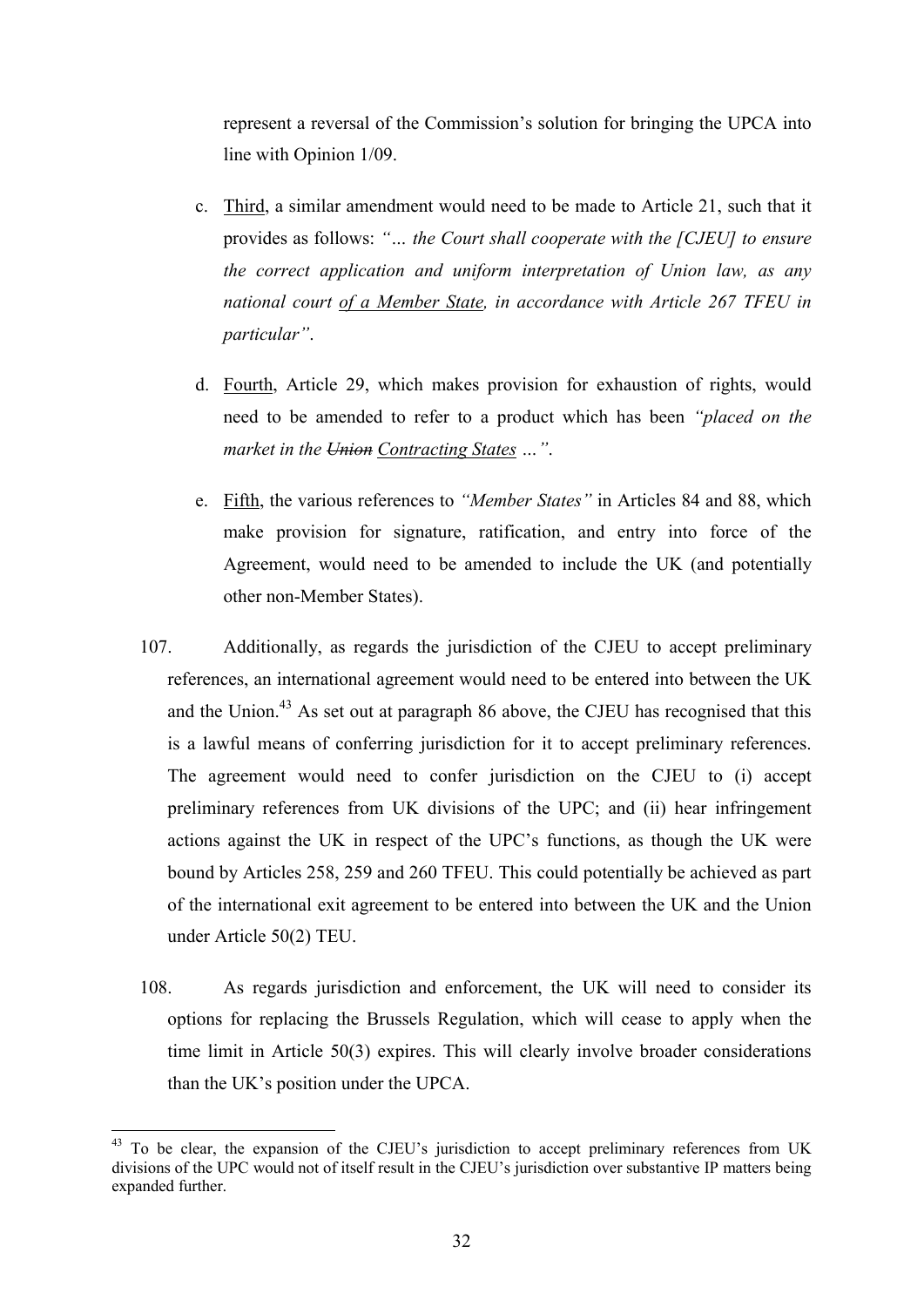represent a reversal of the Commission's solution for bringing the UPCA into line with Opinion 1/09.

- c. Third, a similar amendment would need to be made to Article 21, such that it provides as follows: *"… the Court shall cooperate with the [CJEU] to ensure the correct application and uniform interpretation of Union law, as any national court of a Member State, in accordance with Article 267 TFEU in particular"*.
- d. Fourth, Article 29, which makes provision for exhaustion of rights, would need to be amended to refer to a product which has been *"placed on the market in the Union Contracting States …"*.
- e. Fifth, the various references to *"Member States"* in Articles 84 and 88, which make provision for signature, ratification, and entry into force of the Agreement, would need to be amended to include the UK (and potentially other non-Member States).
- 107. Additionally, as regards the jurisdiction of the CJEU to accept preliminary references, an international agreement would need to be entered into between the UK and the Union.<sup>43</sup> As set out at paragraph 86 above, the CJEU has recognised that this is a lawful means of conferring jurisdiction for it to accept preliminary references. The agreement would need to confer jurisdiction on the CJEU to (i) accept preliminary references from UK divisions of the UPC; and (ii) hear infringement actions against the UK in respect of the UPC's functions, as though the UK were bound by Articles 258, 259 and 260 TFEU. This could potentially be achieved as part of the international exit agreement to be entered into between the UK and the Union under Article 50(2) TEU.
- 108. As regards jurisdiction and enforcement, the UK will need to consider its options for replacing the Brussels Regulation, which will cease to apply when the time limit in Article 50(3) expires. This will clearly involve broader considerations than the UK's position under the UPCA.

<sup>&</sup>lt;sup>43</sup> To be clear, the expansion of the CJEU's jurisdiction to accept preliminary references from UK divisions of the UPC would not of itself result in the CJEU's jurisdiction over substantive IP matters being expanded further.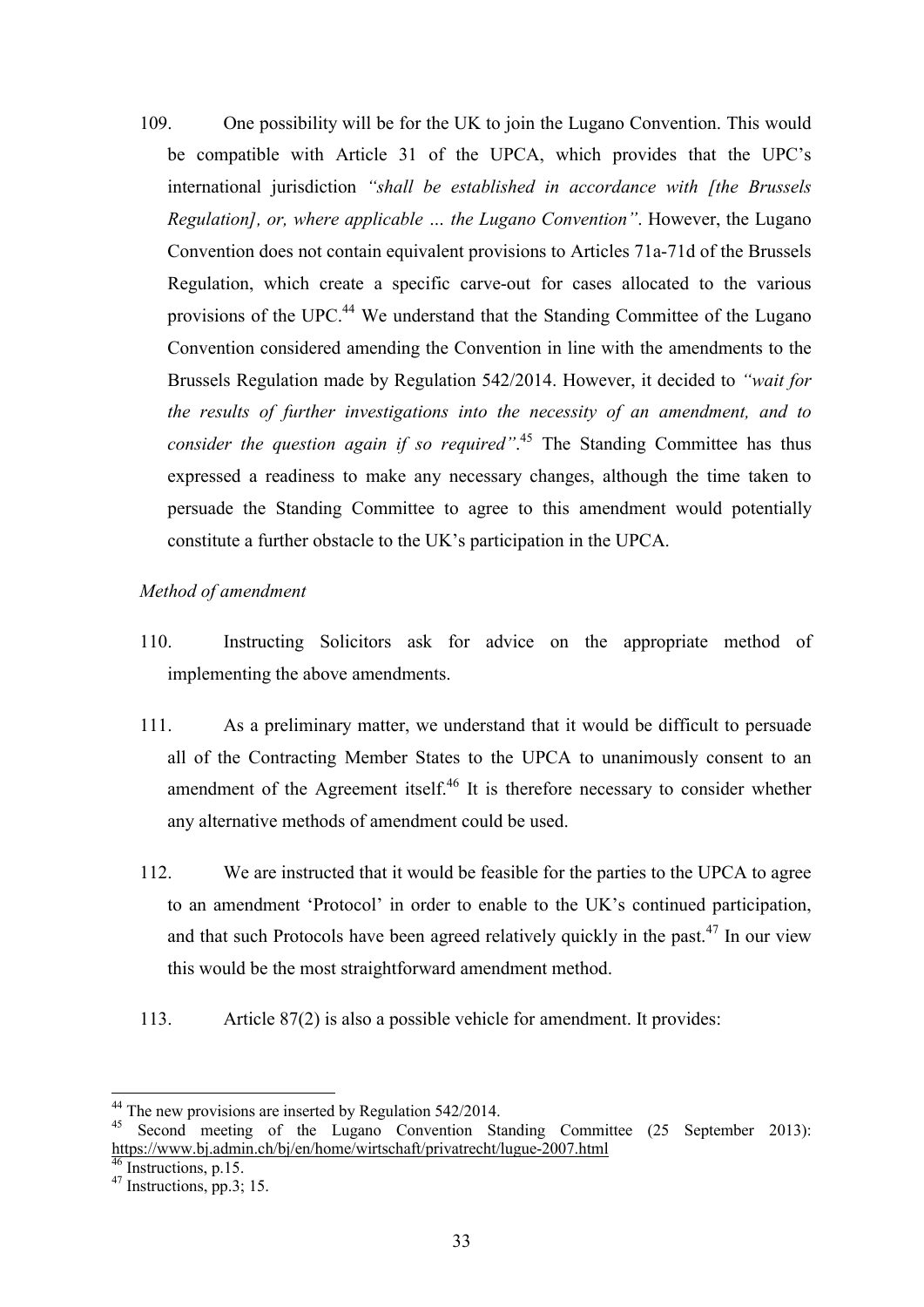109. One possibility will be for the UK to join the Lugano Convention. This would be compatible with Article 31 of the UPCA, which provides that the UPC's international jurisdiction *"shall be established in accordance with [the Brussels Regulation], or, where applicable … the Lugano Convention"*. However, the Lugano Convention does not contain equivalent provisions to Articles 71a-71d of the Brussels Regulation, which create a specific carve-out for cases allocated to the various provisions of the UPC.<sup>44</sup> We understand that the Standing Committee of the Lugano Convention considered amending the Convention in line with the amendments to the Brussels Regulation made by Regulation 542/2014. However, it decided to *"wait for the results of further investigations into the necessity of an amendment, and to consider the question again if so required"*. <sup>45</sup> The Standing Committee has thus expressed a readiness to make any necessary changes, although the time taken to persuade the Standing Committee to agree to this amendment would potentially constitute a further obstacle to the UK's participation in the UPCA.

## *Method of amendment*

- 110. Instructing Solicitors ask for advice on the appropriate method of implementing the above amendments.
- 111. As a preliminary matter, we understand that it would be difficult to persuade all of the Contracting Member States to the UPCA to unanimously consent to an amendment of the Agreement itself. $46$  It is therefore necessary to consider whether any alternative methods of amendment could be used.
- 112. We are instructed that it would be feasible for the parties to the UPCA to agree to an amendment 'Protocol' in order to enable to the UK's continued participation, and that such Protocols have been agreed relatively quickly in the past.<sup>47</sup> In our view this would be the most straightforward amendment method.
- 113. Article 87(2) is also a possible vehicle for amendment. It provides:

 $44$  The new provisions are inserted by Regulation 542/2014.

<sup>45</sup> Second meeting of the Lugano Convention Standing Committee (25 September 2013): https://www.bj.admin.ch/bj/en/home/wirtschaft/privatrecht/lugue-2007.html

Instructions, p.15.

 $^{47}$  Instructions, pp.3; 15.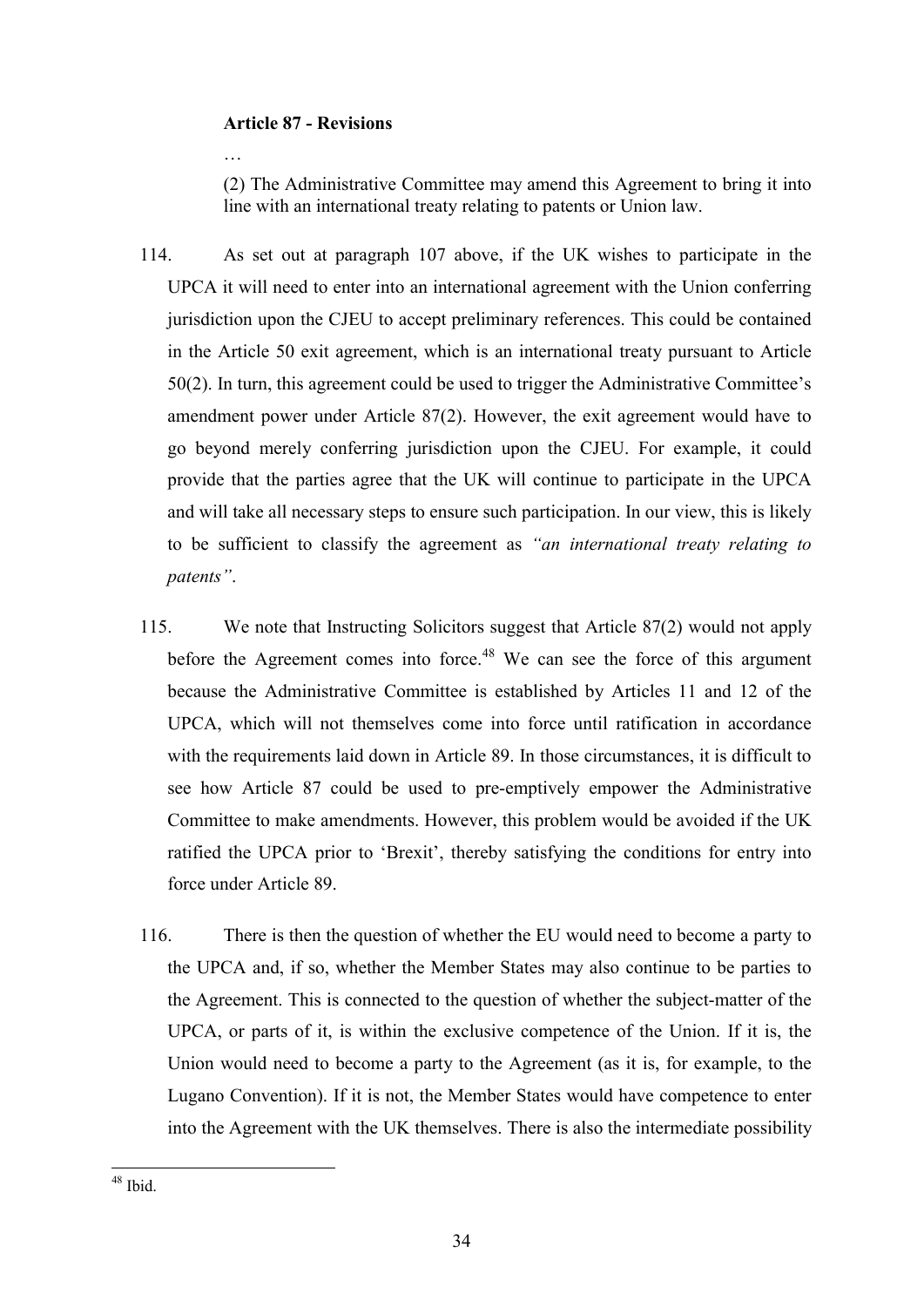## **Article 87 - Revisions**

(2) The Administrative Committee may amend this Agreement to bring it into line with an international treaty relating to patents or Union law.

- 114. As set out at paragraph 107 above, if the UK wishes to participate in the UPCA it will need to enter into an international agreement with the Union conferring jurisdiction upon the CJEU to accept preliminary references. This could be contained in the Article 50 exit agreement, which is an international treaty pursuant to Article 50(2). In turn, this agreement could be used to trigger the Administrative Committee's amendment power under Article 87(2). However, the exit agreement would have to go beyond merely conferring jurisdiction upon the CJEU. For example, it could provide that the parties agree that the UK will continue to participate in the UPCA and will take all necessary steps to ensure such participation. In our view, this is likely to be sufficient to classify the agreement as *"an international treaty relating to patents"*.
- 115. We note that Instructing Solicitors suggest that Article 87(2) would not apply before the Agreement comes into force.<sup>48</sup> We can see the force of this argument because the Administrative Committee is established by Articles 11 and 12 of the UPCA, which will not themselves come into force until ratification in accordance with the requirements laid down in Article 89. In those circumstances, it is difficult to see how Article 87 could be used to pre-emptively empower the Administrative Committee to make amendments. However, this problem would be avoided if the UK ratified the UPCA prior to 'Brexit', thereby satisfying the conditions for entry into force under Article 89.
- 116. There is then the question of whether the EU would need to become a party to the UPCA and, if so, whether the Member States may also continue to be parties to the Agreement. This is connected to the question of whether the subject-matter of the UPCA, or parts of it, is within the exclusive competence of the Union. If it is, the Union would need to become a party to the Agreement (as it is, for example, to the Lugano Convention). If it is not, the Member States would have competence to enter into the Agreement with the UK themselves. There is also the intermediate possibility

 $48$  Ibid.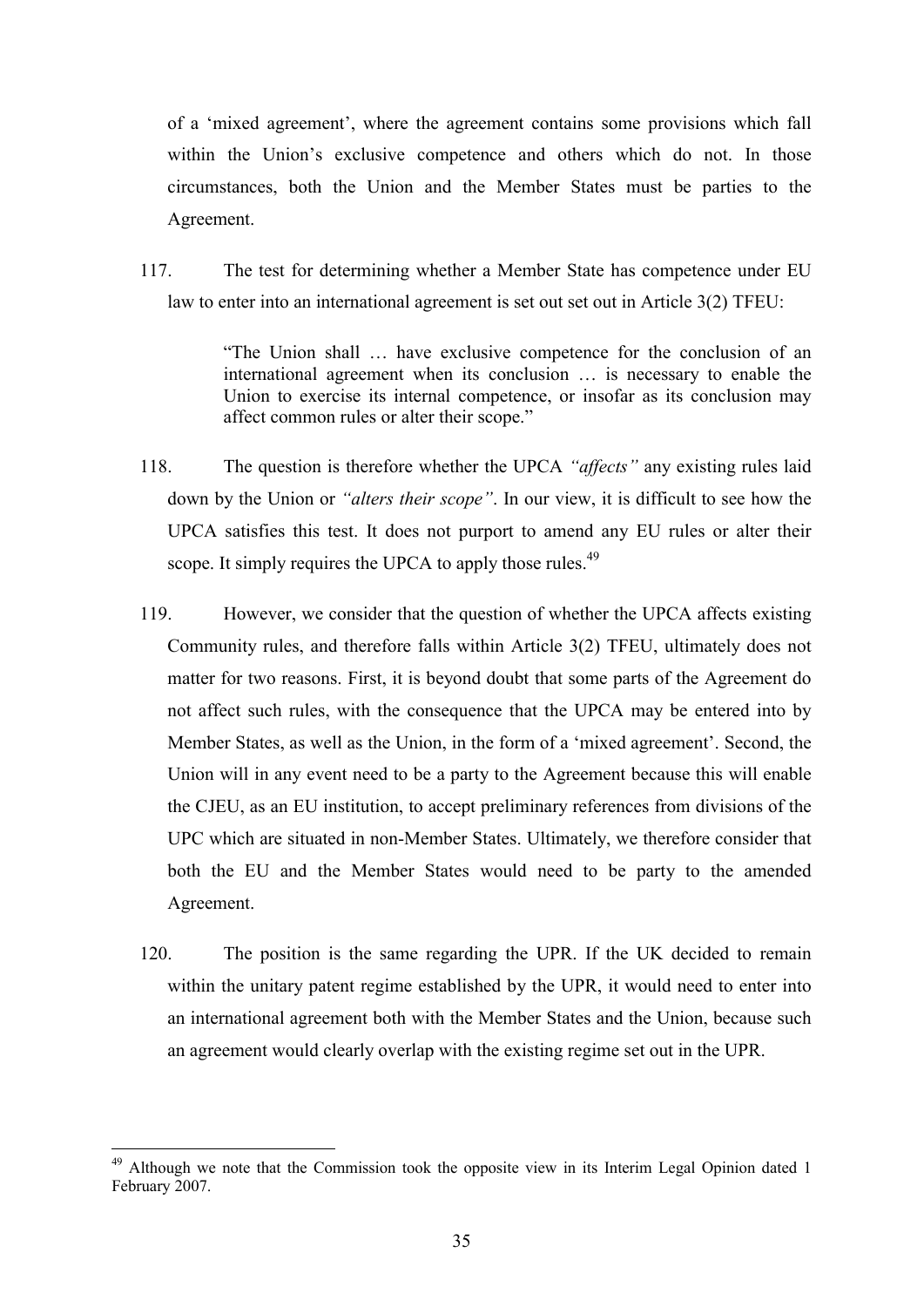of a 'mixed agreement', where the agreement contains some provisions which fall within the Union's exclusive competence and others which do not. In those circumstances, both the Union and the Member States must be parties to the Agreement.

117. The test for determining whether a Member State has competence under EU law to enter into an international agreement is set out set out in Article 3(2) TFEU:

> "The Union shall … have exclusive competence for the conclusion of an international agreement when its conclusion … is necessary to enable the Union to exercise its internal competence, or insofar as its conclusion may affect common rules or alter their scope."

- 118. The question is therefore whether the UPCA *"affects"* any existing rules laid down by the Union or *"alters their scope"*. In our view, it is difficult to see how the UPCA satisfies this test. It does not purport to amend any EU rules or alter their scope. It simply requires the UPCA to apply those rules.<sup>49</sup>
- 119. However, we consider that the question of whether the UPCA affects existing Community rules, and therefore falls within Article 3(2) TFEU, ultimately does not matter for two reasons. First, it is beyond doubt that some parts of the Agreement do not affect such rules, with the consequence that the UPCA may be entered into by Member States, as well as the Union, in the form of a 'mixed agreement'. Second, the Union will in any event need to be a party to the Agreement because this will enable the CJEU, as an EU institution, to accept preliminary references from divisions of the UPC which are situated in non-Member States. Ultimately, we therefore consider that both the EU and the Member States would need to be party to the amended Agreement.
- 120. The position is the same regarding the UPR. If the UK decided to remain within the unitary patent regime established by the UPR, it would need to enter into an international agreement both with the Member States and the Union, because such an agreement would clearly overlap with the existing regime set out in the UPR.

<sup>&</sup>lt;sup>49</sup> Although we note that the Commission took the opposite view in its Interim Legal Opinion dated 1 February 2007.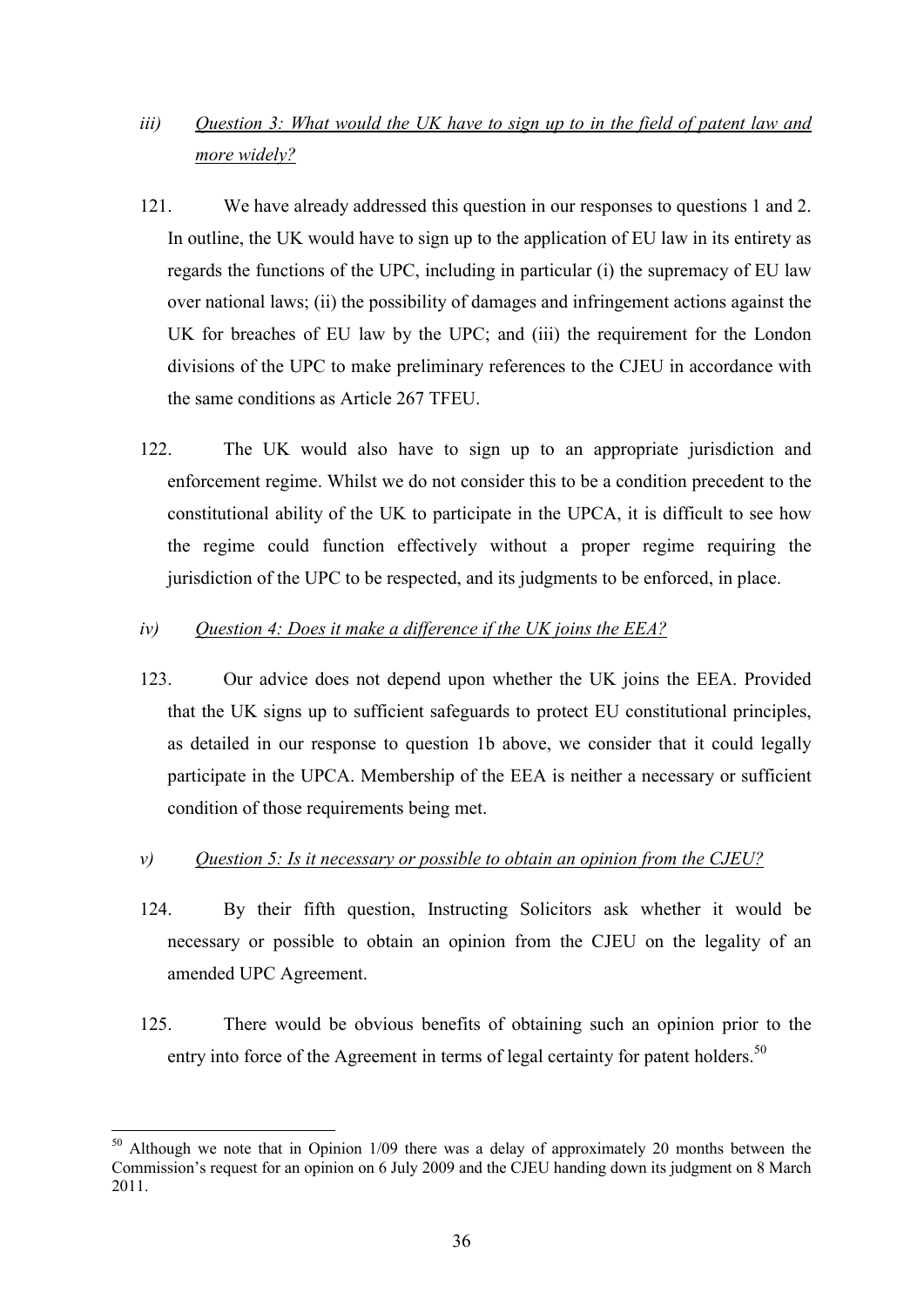# *iii) Question 3: What would the UK have to sign up to in the field of patent law and more widely?*

- 121. We have already addressed this question in our responses to questions 1 and 2. In outline, the UK would have to sign up to the application of EU law in its entirety as regards the functions of the UPC, including in particular (i) the supremacy of EU law over national laws; (ii) the possibility of damages and infringement actions against the UK for breaches of EU law by the UPC; and (iii) the requirement for the London divisions of the UPC to make preliminary references to the CJEU in accordance with the same conditions as Article 267 TFEU.
- 122. The UK would also have to sign up to an appropriate jurisdiction and enforcement regime. Whilst we do not consider this to be a condition precedent to the constitutional ability of the UK to participate in the UPCA, it is difficult to see how the regime could function effectively without a proper regime requiring the jurisdiction of the UPC to be respected, and its judgments to be enforced, in place.

# *iv) Question 4: Does it make a difference if the UK joins the EEA?*

123. Our advice does not depend upon whether the UK joins the EEA. Provided that the UK signs up to sufficient safeguards to protect EU constitutional principles, as detailed in our response to question 1b above, we consider that it could legally participate in the UPCA. Membership of the EEA is neither a necessary or sufficient condition of those requirements being met.

# *v) Question 5: Is it necessary or possible to obtain an opinion from the CJEU?*

- 124. By their fifth question, Instructing Solicitors ask whether it would be necessary or possible to obtain an opinion from the CJEU on the legality of an amended UPC Agreement.
- 125. There would be obvious benefits of obtaining such an opinion prior to the entry into force of the Agreement in terms of legal certainty for patent holders.<sup>50</sup>

 $50$  Although we note that in Opinion 1/09 there was a delay of approximately 20 months between the Commission's request for an opinion on 6 July 2009 and the CJEU handing down its judgment on 8 March 2011.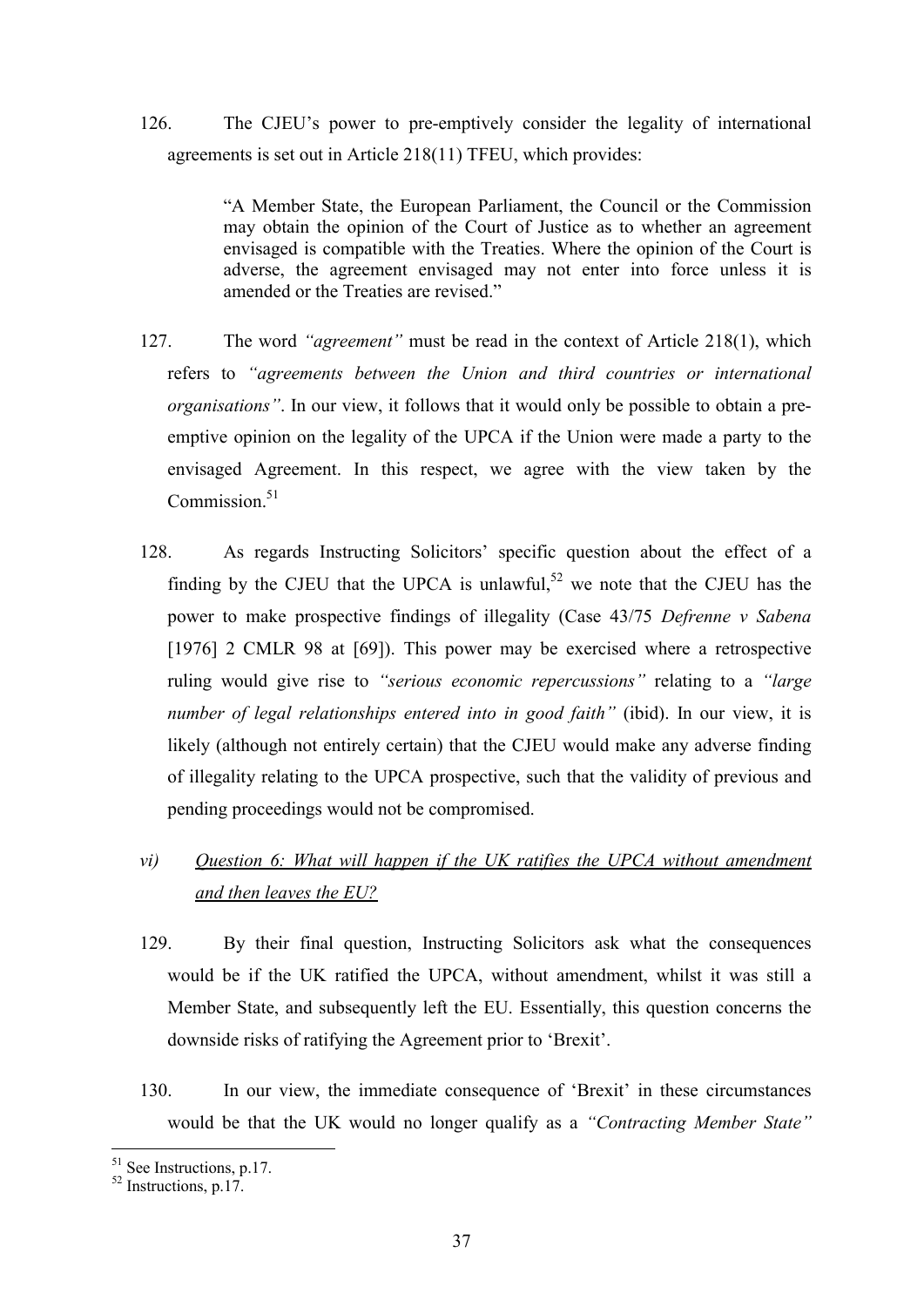126. The CJEU's power to pre-emptively consider the legality of international agreements is set out in Article 218(11) TFEU, which provides:

> "A Member State, the European Parliament, the Council or the Commission may obtain the opinion of the Court of Justice as to whether an agreement envisaged is compatible with the Treaties. Where the opinion of the Court is adverse, the agreement envisaged may not enter into force unless it is amended or the Treaties are revised."

- 127. The word *"agreement"* must be read in the context of Article 218(1), which refers to *"agreements between the Union and third countries or international organisations"*. In our view, it follows that it would only be possible to obtain a preemptive opinion on the legality of the UPCA if the Union were made a party to the envisaged Agreement. In this respect, we agree with the view taken by the Commission. $51$
- 128. As regards Instructing Solicitors' specific question about the effect of a finding by the CJEU that the UPCA is unlawful,  $52$  we note that the CJEU has the power to make prospective findings of illegality (Case 43/75 *Defrenne v Sabena* [1976] 2 CMLR 98 at [69]). This power may be exercised where a retrospective ruling would give rise to *"serious economic repercussions"* relating to a *"large number of legal relationships entered into in good faith"* (ibid). In our view, it is likely (although not entirely certain) that the CJEU would make any adverse finding of illegality relating to the UPCA prospective, such that the validity of previous and pending proceedings would not be compromised.

# *vi) Question 6: What will happen if the UK ratifies the UPCA without amendment and then leaves the EU?*

- 129. By their final question, Instructing Solicitors ask what the consequences would be if the UK ratified the UPCA, without amendment, whilst it was still a Member State, and subsequently left the EU. Essentially, this question concerns the downside risks of ratifying the Agreement prior to 'Brexit'.
- 130. In our view, the immediate consequence of 'Brexit' in these circumstances would be that the UK would no longer qualify as a *"Contracting Member State"*

<sup>1</sup>  $51$  See Instructions, p.17.

 $52$  Instructions, p.17.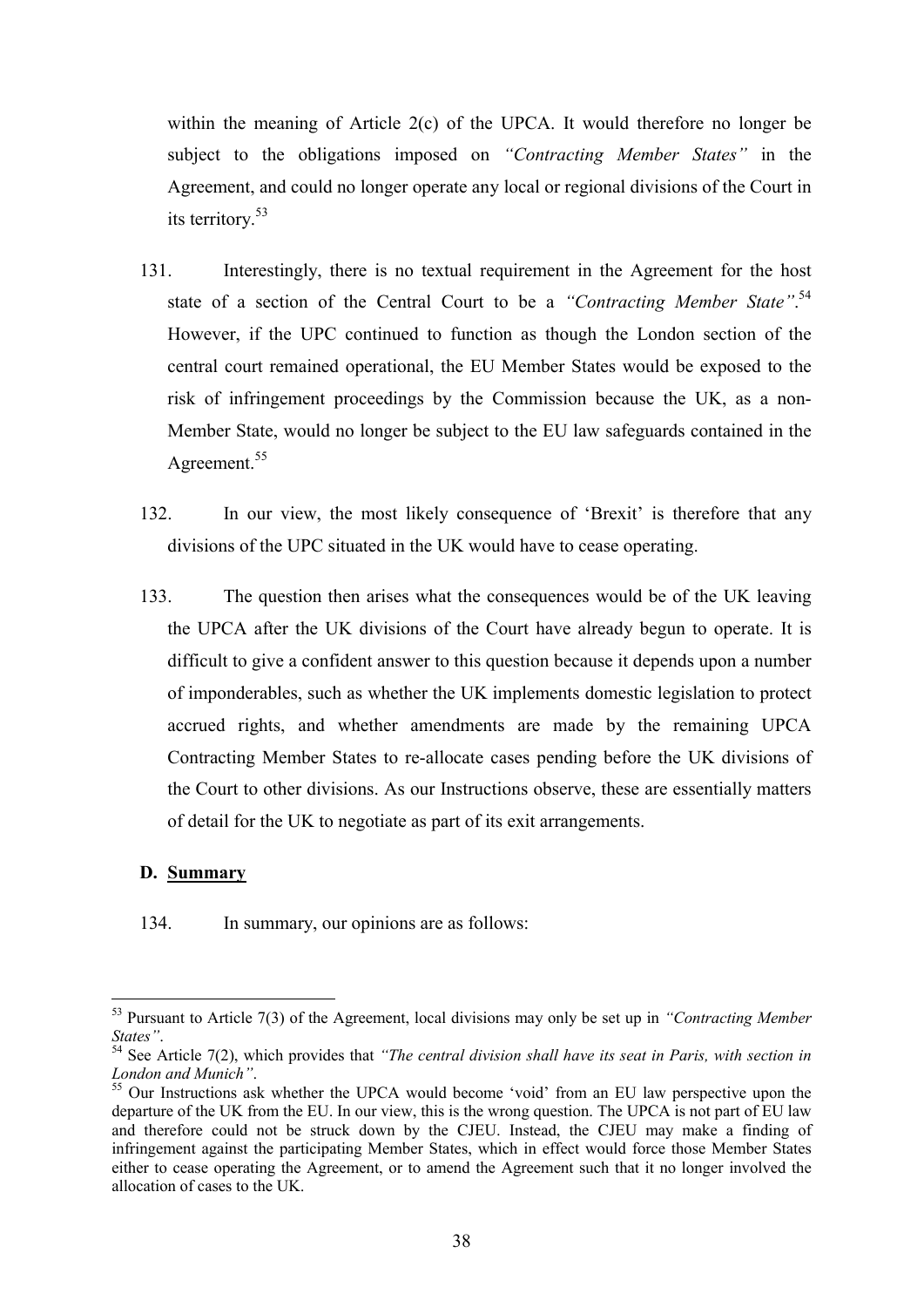within the meaning of Article 2(c) of the UPCA. It would therefore no longer be subject to the obligations imposed on *"Contracting Member States"* in the Agreement, and could no longer operate any local or regional divisions of the Court in its territory. 53

- 131. Interestingly, there is no textual requirement in the Agreement for the host state of a section of the Central Court to be a "Contracting Member State".<sup>54</sup> However, if the UPC continued to function as though the London section of the central court remained operational, the EU Member States would be exposed to the risk of infringement proceedings by the Commission because the UK, as a non-Member State, would no longer be subject to the EU law safeguards contained in the Agreement.<sup>55</sup>
- 132. In our view, the most likely consequence of 'Brexit' is therefore that any divisions of the UPC situated in the UK would have to cease operating.
- 133. The question then arises what the consequences would be of the UK leaving the UPCA after the UK divisions of the Court have already begun to operate. It is difficult to give a confident answer to this question because it depends upon a number of imponderables, such as whether the UK implements domestic legislation to protect accrued rights, and whether amendments are made by the remaining UPCA Contracting Member States to re-allocate cases pending before the UK divisions of the Court to other divisions. As our Instructions observe, these are essentially matters of detail for the UK to negotiate as part of its exit arrangements.

# **D. Summary**

<u>.</u>

134. In summary, our opinions are as follows:

<sup>53</sup> Pursuant to Article 7(3) of the Agreement, local divisions may only be set up in *"Contracting Member States"*.

<sup>54</sup> See Article 7(2), which provides that *"The central division shall have its seat in Paris, with section in London and Munich"*.

<sup>&</sup>lt;sup>55</sup> Our Instructions ask whether the UPCA would become 'void' from an EU law perspective upon the departure of the UK from the EU. In our view, this is the wrong question. The UPCA is not part of EU law and therefore could not be struck down by the CJEU. Instead, the CJEU may make a finding of infringement against the participating Member States, which in effect would force those Member States either to cease operating the Agreement, or to amend the Agreement such that it no longer involved the allocation of cases to the UK.